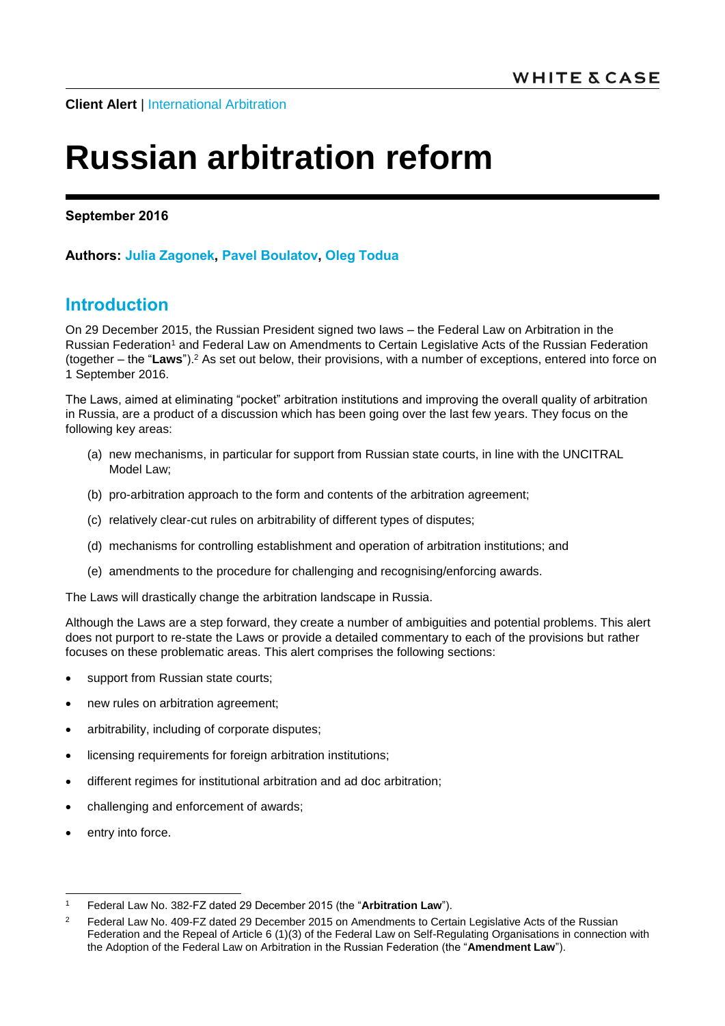**Client Alert | [International Arbitration](http://www.whitecase.com/law/practices/international-arbitration)** 

# **Russian arbitration reform**

**September 2016**

## **Authors: [Julia Zagonek,](http://www.whitecase.com/people/julia-zagonek) [Pavel Boulatov,](http://www.whitecase.com/people/pavel-boulatov) [Oleg Todua](http://www.whitecase.com/people/oleg-todua)**

## **Introduction**

On 29 December 2015, the Russian President signed two laws – the Federal Law on Arbitration in the Russian Federation<sup>1</sup> and Federal Law on Amendments to Certain Legislative Acts of the Russian Federation (together – the "**Laws**").<sup>2</sup> As set out below, their provisions, with a number of exceptions, entered into force on 1 September 2016.

The Laws, aimed at eliminating "pocket" arbitration institutions and improving the overall quality of arbitration in Russia, are a product of a discussion which has been going over the last few years. They focus on the following key areas:

- (a) new mechanisms, in particular for support from Russian state courts, in line with the UNCITRAL Model Law;
- (b) pro-arbitration approach to the form and contents of the arbitration agreement;
- (c) relatively clear-cut rules on arbitrability of different types of disputes;
- (d) mechanisms for controlling establishment and operation of arbitration institutions; and
- (e) amendments to the procedure for challenging and recognising/enforcing awards.

The Laws will drastically change the arbitration landscape in Russia.

Although the Laws are a step forward, they create a number of ambiguities and potential problems. This alert does not purport to re-state the Laws or provide a detailed commentary to each of the provisions but rather focuses on these problematic areas. This alert comprises the following sections:

- support from Russian state courts;
- new rules on arbitration agreement;
- arbitrability, including of corporate disputes;
- licensing requirements for foreign arbitration institutions;
- different regimes for institutional arbitration and ad doc arbitration;
- challenging and enforcement of awards;
- entry into force.

<sup>-</sup><sup>1</sup> Federal Law No. 382-FZ dated 29 December 2015 (the "**Arbitration Law**").

<sup>&</sup>lt;sup>2</sup> Federal Law No. 409-FZ dated 29 December 2015 on Amendments to Certain Legislative Acts of the Russian Federation and the Repeal of Article 6 (1)(3) of the Federal Law on Self-Regulating Organisations in connection with the Adoption of the Federal Law on Arbitration in the Russian Federation (the "**Amendment Law**").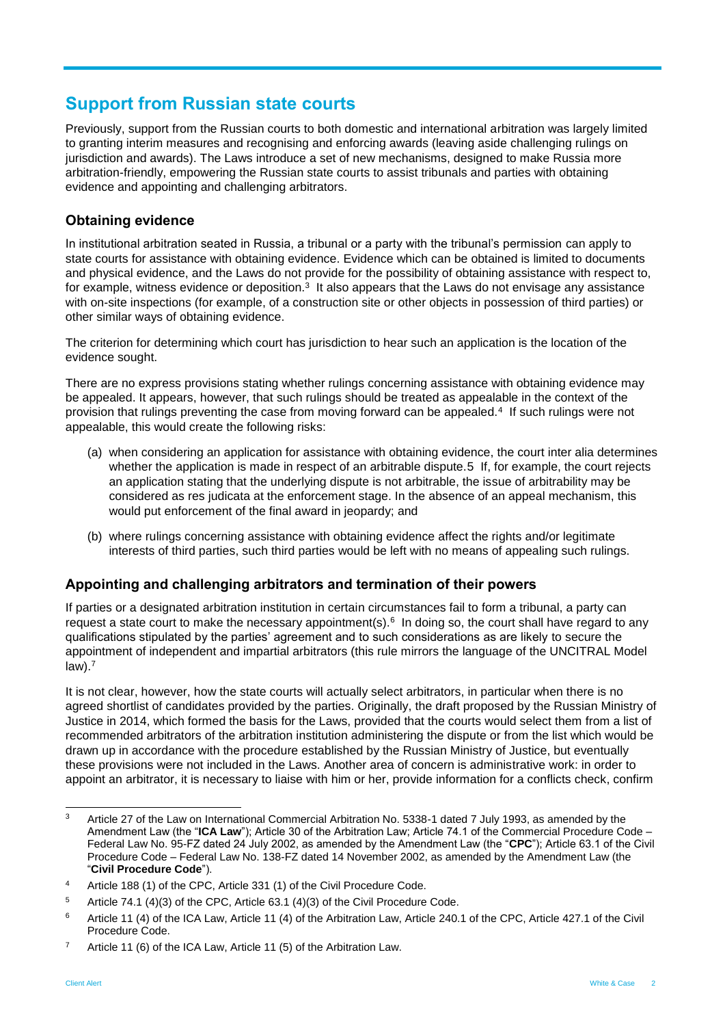## **Support from Russian state courts**

Previously, support from the Russian courts to both domestic and international arbitration was largely limited to granting interim measures and recognising and enforcing awards (leaving aside challenging rulings on jurisdiction and awards). The Laws introduce a set of new mechanisms, designed to make Russia more arbitration-friendly, empowering the Russian state courts to assist tribunals and parties with obtaining evidence and appointing and challenging arbitrators.

### **Obtaining evidence**

In institutional arbitration seated in Russia, a tribunal or a party with the tribunal's permission can apply to state courts for assistance with obtaining evidence. Evidence which can be obtained is limited to documents and physical evidence, and the Laws do not provide for the possibility of obtaining assistance with respect to, for example, witness evidence or deposition. $^3\,$  It also appears that the Laws do not envisage any assistance with on-site inspections (for example, of a construction site or other objects in possession of third parties) or other similar ways of obtaining evidence.

The criterion for determining which court has jurisdiction to hear such an application is the location of the evidence sought.

There are no express provisions stating whether rulings concerning assistance with obtaining evidence may be appealed. It appears, however, that such rulings should be treated as appealable in the context of the provision that rulings preventing the case from moving forward can be appealed.<sup>4</sup> If such rulings were not appealable, this would create the following risks:

- (a) when considering an application for assistance with obtaining evidence, the court inter alia determines whether the application is made in respect of an arbitrable dispute.5 If, for example, the court rejects an application stating that the underlying dispute is not arbitrable, the issue of arbitrability may be considered as res judicata at the enforcement stage. In the absence of an appeal mechanism, this would put enforcement of the final award in jeopardy; and
- (b) where rulings concerning assistance with obtaining evidence affect the rights and/or legitimate interests of third parties, such third parties would be left with no means of appealing such rulings.

## **Appointing and challenging arbitrators and termination of their powers**

If parties or a designated arbitration institution in certain circumstances fail to form a tribunal, a party can request a state court to make the necessary appointment(s). $6$  In doing so, the court shall have regard to any qualifications stipulated by the parties' agreement and to such considerations as are likely to secure the appointment of independent and impartial arbitrators (this rule mirrors the language of the UNCITRAL Model law).<sup>7</sup>

It is not clear, however, how the state courts will actually select arbitrators, in particular when there is no agreed shortlist of candidates provided by the parties. Originally, the draft proposed by the Russian Ministry of Justice in 2014, which formed the basis for the Laws, provided that the courts would select them from a list of recommended arbitrators of the arbitration institution administering the dispute or from the list which would be drawn up in accordance with the procedure established by the Russian Ministry of Justice, but eventually these provisions were not included in the Laws. Another area of concern is administrative work: in order to appoint an arbitrator, it is necessary to liaise with him or her, provide information for a conflicts check, confirm

<sup>3</sup> Article 27 of the Law on International Commercial Arbitration No. 5338-1 dated 7 July 1993, as amended by the Amendment Law (the "**ICA Law**"); Article 30 of the Arbitration Law; Article 74.1 of the Commercial Procedure Code – Federal Law No. 95-FZ dated 24 July 2002, as amended by the Amendment Law (the "**CPC**"); Article 63.1 of the Civil Procedure Code – Federal Law No. 138-FZ dated 14 November 2002, as amended by the Amendment Law (the "**Civil Procedure Code**").

<sup>4</sup> Article 188 (1) of the CPC, Article 331 (1) of the Civil Procedure Code.

<sup>5</sup> Article 74.1 (4)(3) of the CPC, Article 63.1 (4)(3) of the Civil Procedure Code.

<sup>6</sup> Article 11 (4) of the ICA Law, Article 11 (4) of the Arbitration Law, Article 240.1 of the CPC, Article 427.1 of the Civil Procedure Code.

<sup>7</sup> Article 11 (6) of the ICA Law, Article 11 (5) of the Arbitration Law.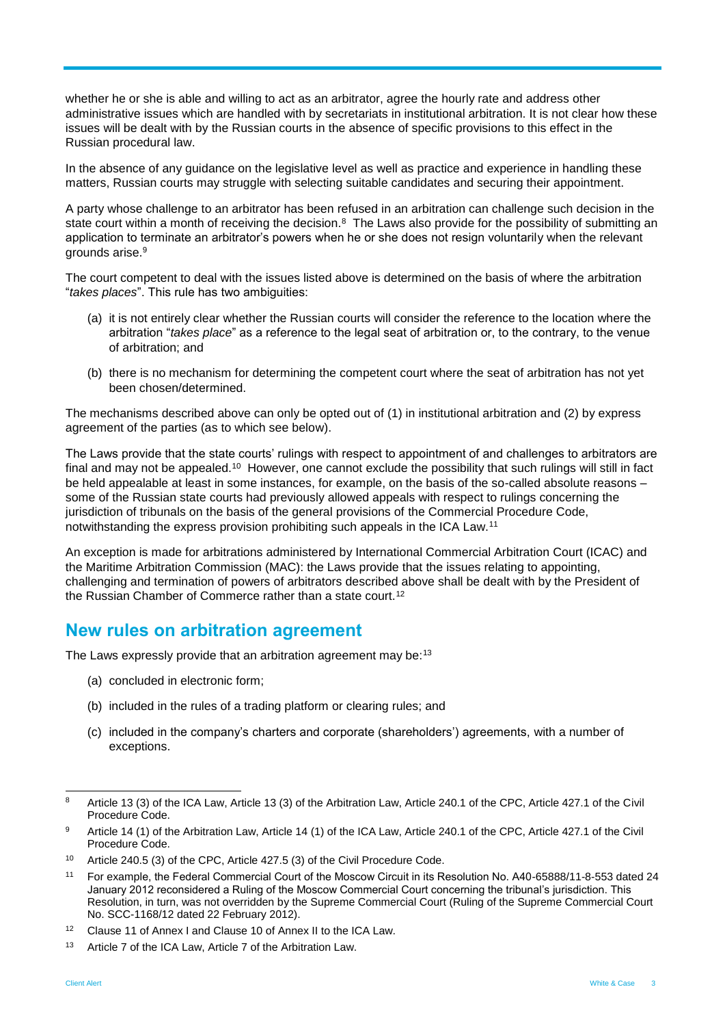whether he or she is able and willing to act as an arbitrator, agree the hourly rate and address other administrative issues which are handled with by secretariats in institutional arbitration. It is not clear how these issues will be dealt with by the Russian courts in the absence of specific provisions to this effect in the Russian procedural law.

In the absence of any guidance on the legislative level as well as practice and experience in handling these matters, Russian courts may struggle with selecting suitable candidates and securing their appointment.

A party whose challenge to an arbitrator has been refused in an arbitration can challenge such decision in the state court within a month of receiving the decision.<sup>8</sup> The Laws also provide for the possibility of submitting an application to terminate an arbitrator's powers when he or she does not resign voluntarily when the relevant grounds arise.<sup>9</sup>

The court competent to deal with the issues listed above is determined on the basis of where the arbitration "*takes places*". This rule has two ambiguities:

- (a) it is not entirely clear whether the Russian courts will consider the reference to the location where the arbitration "*takes place*" as a reference to the legal seat of arbitration or, to the contrary, to the venue of arbitration; and
- (b) there is no mechanism for determining the competent court where the seat of arbitration has not yet been chosen/determined.

The mechanisms described above can only be opted out of (1) in institutional arbitration and (2) by express agreement of the parties (as to which see below).

The Laws provide that the state courts' rulings with respect to appointment of and challenges to arbitrators are final and may not be appealed.<sup>10</sup> However, one cannot exclude the possibility that such rulings will still in fact be held appealable at least in some instances, for example, on the basis of the so-called absolute reasons – some of the Russian state courts had previously allowed appeals with respect to rulings concerning the jurisdiction of tribunals on the basis of the general provisions of the Commercial Procedure Code, notwithstanding the express provision prohibiting such appeals in the ICA Law.<sup>11</sup>

An exception is made for arbitrations administered by International Commercial Arbitration Court (ICAC) and the Maritime Arbitration Commission (MAC): the Laws provide that the issues relating to appointing, challenging and termination of powers of arbitrators described above shall be dealt with by the President of the Russian Chamber of Commerce rather than a state court.<sup>12</sup>

## **New rules on arbitration agreement**

The Laws expressly provide that an arbitration agreement may be:<sup>13</sup>

- (a) concluded in electronic form;
- (b) included in the rules of a trading platform or clearing rules; and
- (c) included in the company's charters and corporate (shareholders') agreements, with a number of exceptions.

<sup>-</sup><sup>8</sup> Article 13 (3) of the ICA Law, Article 13 (3) of the Arbitration Law, Article 240.1 of the CPC, Article 427.1 of the Civil Procedure Code.

<sup>9</sup> Article 14 (1) of the Arbitration Law, Article 14 (1) of the ICA Law, Article 240.1 of the CPC, Article 427.1 of the Civil Procedure Code.

<sup>10</sup> Article 240.5 (3) of the CPC, Article 427.5 (3) of the Civil Procedure Code.

<sup>11</sup> For example, the Federal Commercial Court of the Moscow Circuit in its Resolution No. А40-65888/11-8-553 dated 24 January 2012 reconsidered a Ruling of the Moscow Commercial Court concerning the tribunal's jurisdiction. This Resolution, in turn, was not overridden by the Supreme Commercial Court (Ruling of the Supreme Commercial Court No. SCC-1168/12 dated 22 February 2012).

<sup>&</sup>lt;sup>12</sup> Clause 11 of Annex I and Clause 10 of Annex II to the ICA Law.

<sup>&</sup>lt;sup>13</sup> Article 7 of the ICA Law, Article 7 of the Arbitration Law.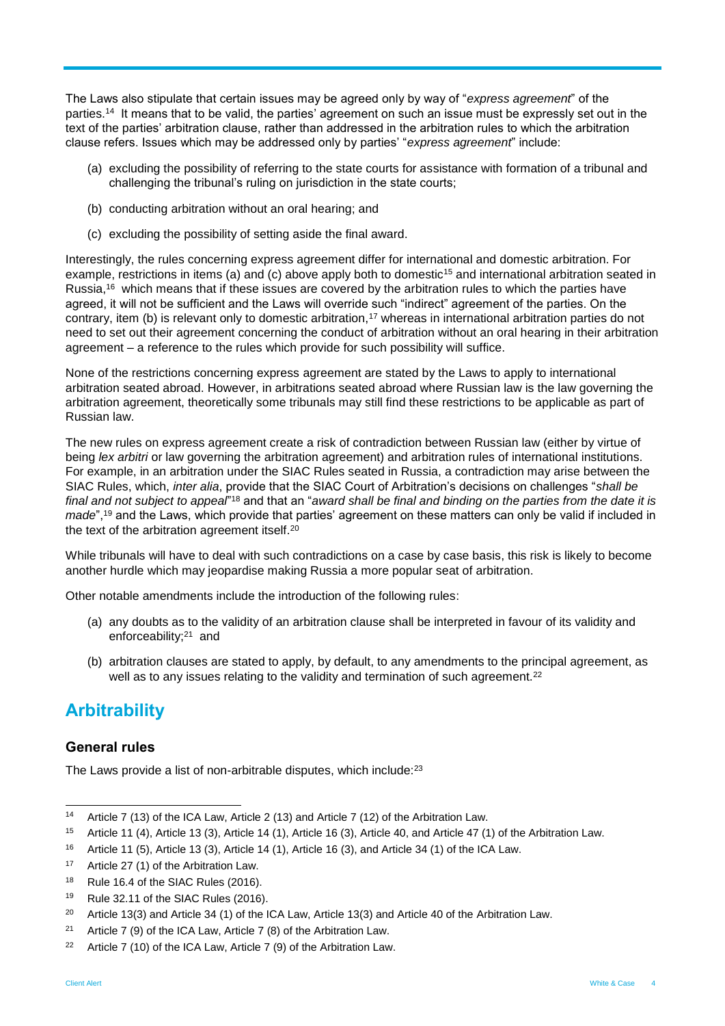The Laws also stipulate that certain issues may be agreed only by way of "*express agreement*" of the parties.<sup>14</sup> It means that to be valid, the parties' agreement on such an issue must be expressly set out in the text of the parties' arbitration clause, rather than addressed in the arbitration rules to which the arbitration clause refers. Issues which may be addressed only by parties' "*express agreement*" include:

- (a) excluding the possibility of referring to the state courts for assistance with formation of a tribunal and challenging the tribunal's ruling on jurisdiction in the state courts;
- (b) conducting arbitration without an oral hearing; and
- (c) excluding the possibility of setting aside the final award.

Interestingly, the rules concerning express agreement differ for international and domestic arbitration. For example, restrictions in items (a) and (c) above apply both to domestic<sup>15</sup> and international arbitration seated in Russia,<sup>16</sup> which means that if these issues are covered by the arbitration rules to which the parties have agreed, it will not be sufficient and the Laws will override such "indirect" agreement of the parties. On the contrary, item (b) is relevant only to domestic arbitration,<sup>17</sup> whereas in international arbitration parties do not need to set out their agreement concerning the conduct of arbitration without an oral hearing in their arbitration agreement – a reference to the rules which provide for such possibility will suffice.

None of the restrictions concerning express agreement are stated by the Laws to apply to international arbitration seated abroad. However, in arbitrations seated abroad where Russian law is the law governing the arbitration agreement, theoretically some tribunals may still find these restrictions to be applicable as part of Russian law.

The new rules on express agreement create a risk of contradiction between Russian law (either by virtue of being *lex arbitri* or law governing the arbitration agreement) and arbitration rules of international institutions. For example, in an arbitration under the SIAC Rules seated in Russia, a contradiction may arise between the SIAC Rules, which, *inter alia*, provide that the SIAC Court of Arbitration's decisions on challenges "*shall be*  final and not subject to appeal<sup>"18</sup> and that an "*award shall be final and binding on the parties from the date it is made*",<sup>19</sup> and the Laws, which provide that parties' agreement on these matters can only be valid if included in the text of the arbitration agreement itself.<sup>20</sup>

While tribunals will have to deal with such contradictions on a case by case basis, this risk is likely to become another hurdle which may jeopardise making Russia a more popular seat of arbitration.

Other notable amendments include the introduction of the following rules:

- (a) any doubts as to the validity of an arbitration clause shall be interpreted in favour of its validity and enforceability;<sup>21</sup> and
- (b) arbitration clauses are stated to apply, by default, to any amendments to the principal agreement, as well as to any issues relating to the validity and termination of such agreement.<sup>22</sup>

## **Arbitrability**

### **General rules**

The Laws provide a list of non-arbitrable disputes, which include:<sup>23</sup>

17 Article 27 (1) of the Arbitration Law.

-

<sup>14</sup> Article 7 (13) of the ICA Law, Article 2 (13) and Article 7 (12) of the Arbitration Law.

<sup>15</sup> Article 11 (4), Article 13 (3), Article 14 (1), Article 16 (3), Article 40, and Article 47 (1) of the Arbitration Law.

<sup>16</sup> Article 11 (5), Article 13 (3), Article 14 (1), Article 16 (3), and Article 34 (1) of the ICA Law.

<sup>&</sup>lt;sup>18</sup> Rule 16.4 of the SIAC Rules (2016).

<sup>&</sup>lt;sup>19</sup> Rule 32.11 of the SIAC Rules (2016).

<sup>&</sup>lt;sup>20</sup> Article 13(3) and Article 34 (1) of the ICA Law, Article 13(3) and Article 40 of the Arbitration Law.

<sup>&</sup>lt;sup>21</sup> Article 7 (9) of the ICA Law, Article 7 (8) of the Arbitration Law.

<sup>&</sup>lt;sup>22</sup> Article 7 (10) of the ICA Law, Article 7 (9) of the Arbitration Law.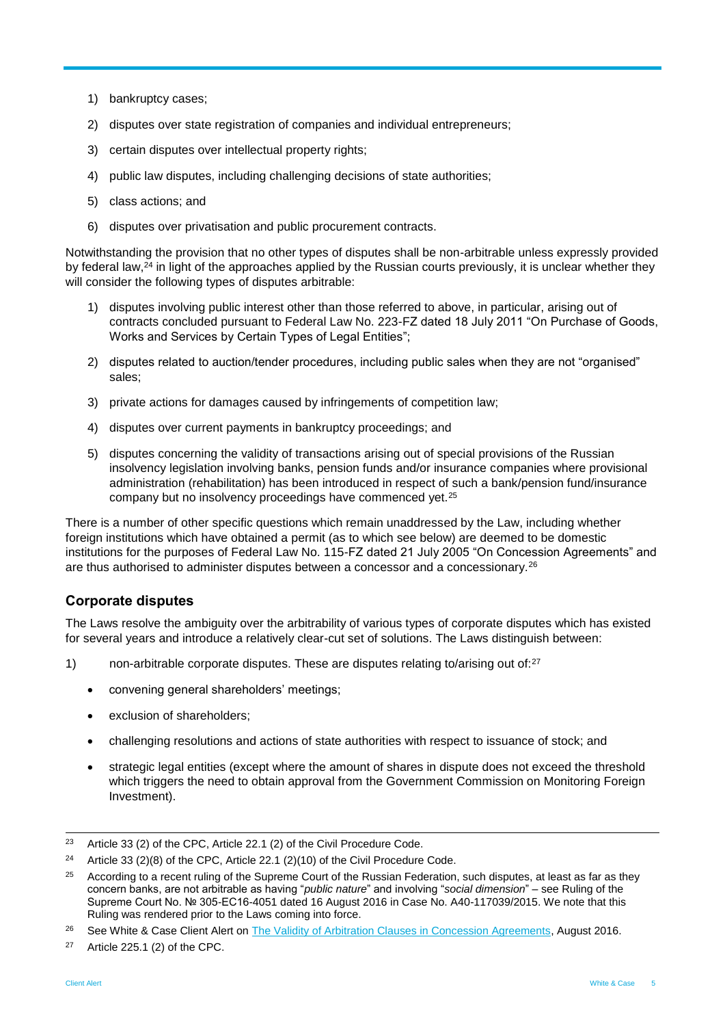- 1) bankruptcy cases;
- 2) disputes over state registration of companies and individual entrepreneurs;
- 3) certain disputes over intellectual property rights;
- 4) public law disputes, including challenging decisions of state authorities;
- 5) class actions; and
- 6) disputes over privatisation and public procurement contracts.

Notwithstanding the provision that no other types of disputes shall be non-arbitrable unless expressly provided by federal law,<sup>24</sup> in light of the approaches applied by the Russian courts previously, it is unclear whether they will consider the following types of disputes arbitrable:

- 1) disputes involving public interest other than those referred to above, in particular, arising out of contracts concluded pursuant to Federal Law No. 223-FZ dated 18 July 2011 "On Purchase of Goods, Works and Services by Certain Types of Legal Entities";
- 2) disputes related to auction/tender procedures, including public sales when they are not "organised" sales;
- 3) private actions for damages caused by infringements of competition law;
- 4) disputes over current payments in bankruptcy proceedings; and
- 5) disputes concerning the validity of transactions arising out of special provisions of the Russian insolvency legislation involving banks, pension funds and/or insurance companies where provisional administration (rehabilitation) has been introduced in respect of such a bank/pension fund/insurance company but no insolvency proceedings have commenced yet.<sup>25</sup>

There is a number of other specific questions which remain unaddressed by the Law, including whether foreign institutions which have obtained a permit (as to which see below) are deemed to be domestic institutions for the purposes of Federal Law No. 115-FZ dated 21 July 2005 "On Concession Agreements" and are thus authorised to administer disputes between a concessor and a concessionary.<sup>26</sup>

### **Corporate disputes**

The Laws resolve the ambiguity over the arbitrability of various types of corporate disputes which has existed for several years and introduce a relatively clear-cut set of solutions. The Laws distinguish between:

- 1) non-arbitrable corporate disputes. These are disputes relating to/arising out of:<sup>27</sup>
	- convening general shareholders' meetings;
	- exclusion of shareholders;
	- challenging resolutions and actions of state authorities with respect to issuance of stock; and
	- strategic legal entities (except where the amount of shares in dispute does not exceed the threshold which triggers the need to obtain approval from the Government Commission on Monitoring Foreign Investment).

 $23$ Article 33 (2) of the CPC, Article 22.1 (2) of the Civil Procedure Code.

<sup>&</sup>lt;sup>24</sup> Article 33 (2)(8) of the CPC, Article 22.1 (2)(10) of the Civil Procedure Code.

<sup>&</sup>lt;sup>25</sup> According to a recent ruling of the Supreme Court of the Russian Federation, such disputes, at least as far as they concern banks, are not arbitrable as having "*public nature*" and involving "*social dimension*" – see Ruling of the Supreme Court No. № 305-EС16-4051 dated 16 August 2016 in Case No. A40-117039/2015. We note that this Ruling was rendered prior to the Laws coming into force.

<sup>&</sup>lt;sup>26</sup> See White & Case Client Alert on [The Validity of Arbitration Clauses in Concession Agreements,](http://www.whitecase.com/sites/whitecase/files/files/download/publications/the_validity_of_arbitration_clauses_in_concession_agreements.pdf) August 2016.

 $27$  Article 225.1 (2) of the CPC.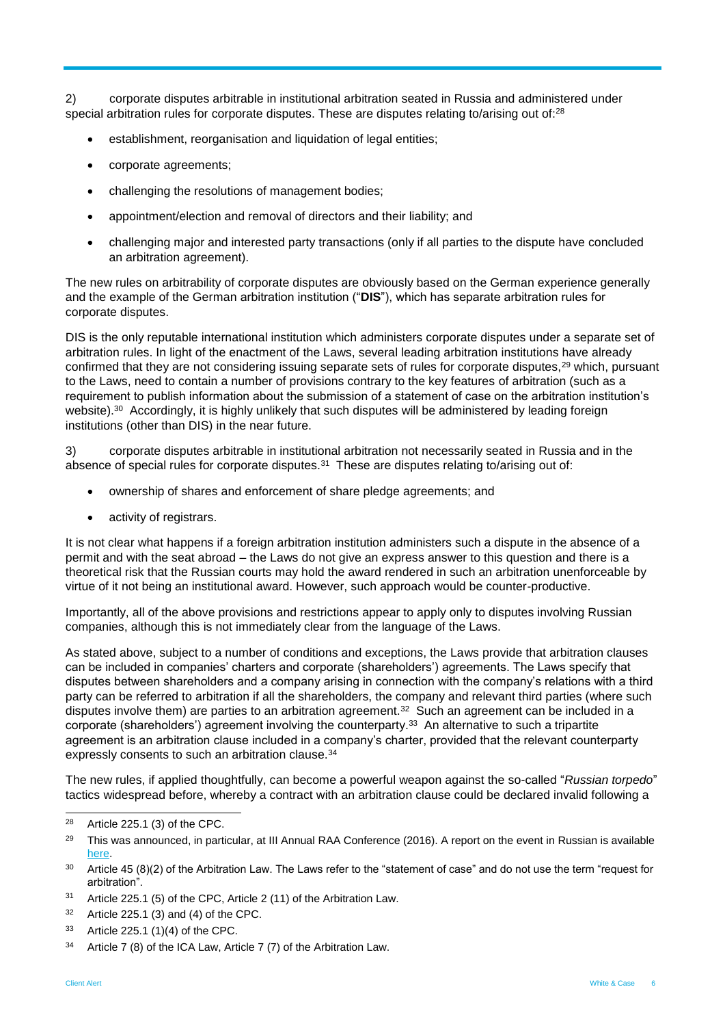2) corporate disputes arbitrable in institutional arbitration seated in Russia and administered under special arbitration rules for corporate disputes. These are disputes relating to/arising out of:<sup>28</sup>

- establishment, reorganisation and liquidation of legal entities;
- corporate agreements;
- challenging the resolutions of management bodies;
- appointment/election and removal of directors and their liability; and
- challenging major and interested party transactions (only if all parties to the dispute have concluded an arbitration agreement).

The new rules on arbitrability of corporate disputes are obviously based on the German experience generally and the example of the German arbitration institution ("**DIS**"), which has separate arbitration rules for corporate disputes.

DIS is the only reputable international institution which administers corporate disputes under a separate set of arbitration rules. In light of the enactment of the Laws, several leading arbitration institutions have already confirmed that they are not considering issuing separate sets of rules for corporate disputes,<sup>29</sup> which, pursuant to the Laws, need to contain a number of provisions contrary to the key features of arbitration (such as a requirement to publish information about the submission of a statement of case on the arbitration institution's website). $^{30}$  Accordingly, it is highly unlikely that such disputes will be administered by leading foreign institutions (other than DIS) in the near future.

3) corporate disputes arbitrable in institutional arbitration not necessarily seated in Russia and in the absence of special rules for corporate disputes.<sup>31</sup> These are disputes relating to/arising out of:

- ownership of shares and enforcement of share pledge agreements; and
- activity of registrars.

It is not clear what happens if a foreign arbitration institution administers such a dispute in the absence of a permit and with the seat abroad – the Laws do not give an express answer to this question and there is a theoretical risk that the Russian courts may hold the award rendered in such an arbitration unenforceable by virtue of it not being an institutional award. However, such approach would be counter-productive.

Importantly, all of the above provisions and restrictions appear to apply only to disputes involving Russian companies, although this is not immediately clear from the language of the Laws.

As stated above, subject to a number of conditions and exceptions, the Laws provide that arbitration clauses can be included in companies' charters and corporate (shareholders') agreements. The Laws specify that disputes between shareholders and a company arising in connection with the company's relations with a third party can be referred to arbitration if all the shareholders, the company and relevant third parties (where such disputes involve them) are parties to an arbitration agreement.<sup>32</sup> Such an agreement can be included in a corporate (shareholders') agreement involving the counterparty.<sup>33</sup> An alternative to such a tripartite agreement is an arbitration clause included in a company's charter, provided that the relevant counterparty expressly consents to such an arbitration clause.<sup>34</sup>

The new rules, if applied thoughtfully, can become a powerful weapon against the so-called "*Russian torpedo*" tactics widespread before, whereby a contract with an arbitration clause could be declared invalid following a

<sup>33</sup> Article 225.1 (1)(4) of the CPC.

<sup>28</sup> Article  $225.1$  (3) of the CPC.

<sup>&</sup>lt;sup>29</sup> This was announced, in particular, at III Annual RAA Conference (2016). A report on the event in Russian is available [here.](http://arbitrations.ru/press-centr/news/iii-ezhegodnaya-konferentsiya-raa-2016/)

 $30$  Article 45 (8)(2) of the Arbitration Law. The Laws refer to the "statement of case" and do not use the term "request for arbitration".

<sup>31</sup> Article 225.1 (5) of the CPC, Article 2 (11) of the Arbitration Law.

 $32$  Article 225.1 (3) and (4) of the CPC.

<sup>&</sup>lt;sup>34</sup> Article 7 (8) of the ICA Law, Article 7 (7) of the Arbitration Law.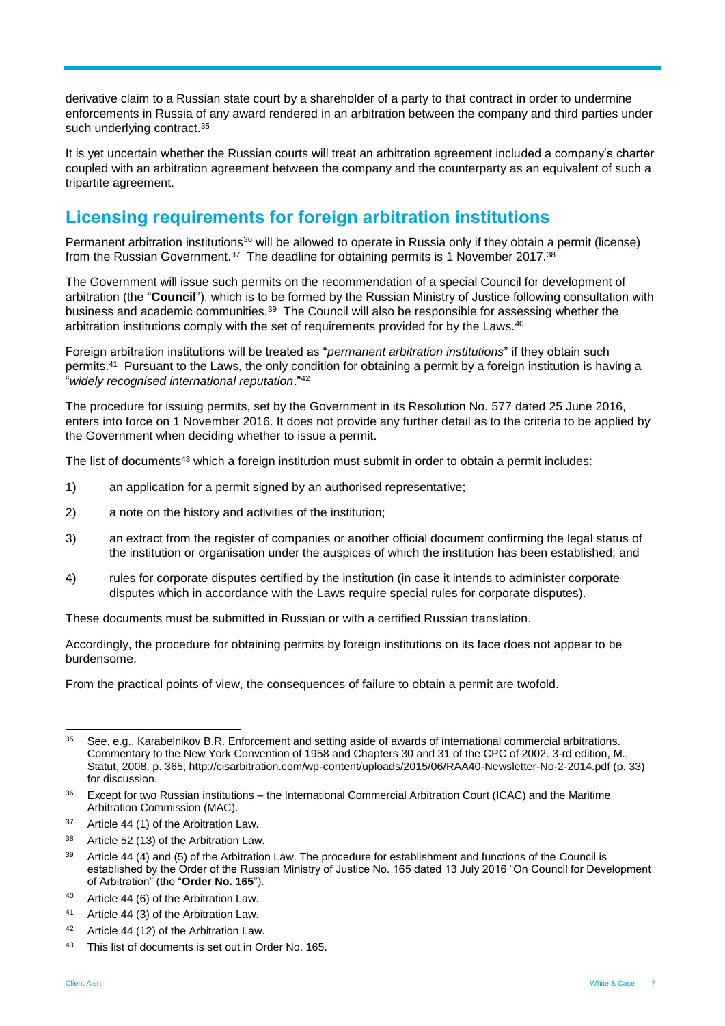derivative claim to a Russian state court by a shareholder of a party to that contract in order to undermine enforcements in Russia of any award rendered in an arbitration between the company and third parties under such underlying contract.<sup>35</sup>

It is yet uncertain whether the Russian courts will treat an arbitration agreement included a company's charter coupled with an arbitration agreement between the company and the counterparty as an equivalent of such a tripartite agreement.

# **Licensing requirements for foreign arbitration institutions**

Permanent arbitration institutions<sup>36</sup> will be allowed to operate in Russia only if they obtain a permit (license) from the Russian Government. $^{37}$  The deadline for obtaining permits is 1 November 2017. $^{38}$ 

The Government will issue such permits on the recommendation of a special Council for development of arbitration (the "**Council**"), which is to be formed by the Russian Ministry of Justice following consultation with business and academic communities.<sup>39</sup> The Council will also be responsible for assessing whether the arbitration institutions comply with the set of requirements provided for by the Laws.<sup>40</sup>

Foreign arbitration institutions will be treated as "*permanent arbitration institutions*" if they obtain such permits.<sup>41</sup> Pursuant to the Laws, the only condition for obtaining a permit by a foreign institution is having a "*widely recognised international reputation*."<sup>42</sup>

The procedure for issuing permits, set by the Government in its Resolution No. 577 dated 25 June 2016, enters into force on 1 November 2016. It does not provide any further detail as to the criteria to be applied by the Government when deciding whether to issue a permit.

The list of documents<sup>43</sup> which a foreign institution must submit in order to obtain a permit includes:

- 1) an application for a permit signed by an authorised representative;
- 2) a note on the history and activities of the institution;
- 3) an extract from the register of companies or another official document confirming the legal status of the institution or organisation under the auspices of which the institution has been established; and
- 4) rules for corporate disputes certified by the institution (in case it intends to administer corporate disputes which in accordance with the Laws require special rules for corporate disputes).

These documents must be submitted in Russian or with a certified Russian translation.

Accordingly, the procedure for obtaining permits by foreign institutions on its face does not appear to be burdensome.

From the practical points of view, the consequences of failure to obtain a permit are twofold.

<sup>35</sup> See, e.g., Karabelnikov B.R. Enforcement and setting aside of awards of international commercial arbitrations. Commentary to the New York Convention of 1958 and Chapters 30 and 31 of the CPC of 2002. 3-rd edition, M., Statut, 2008, p. 365; http://cisarbitration.com/wp-content/uploads/2015/06/RAA40-Newsletter-No-2-2014.pdf (p. 33) for discussion.

 $36$  Except for two Russian institutions – the International Commercial Arbitration Court (ICAC) and the Maritime Arbitration Commission (MAC).

<sup>&</sup>lt;sup>37</sup> Article 44 (1) of the Arbitration Law.

<sup>&</sup>lt;sup>38</sup> Article 52 (13) of the Arbitration Law.

<sup>&</sup>lt;sup>39</sup> Article 44 (4) and (5) of the Arbitration Law. The procedure for establishment and functions of the Council is established by the Order of the Russian Ministry of Justice No. 165 dated 13 July 2016 "On Council for Development of Arbitration" (the "**Order No. 165**").

<sup>40</sup> Article 44 (6) of the Arbitration Law.

<sup>41</sup> Article 44 (3) of the Arbitration Law.

<sup>42</sup> Article 44 (12) of the Arbitration Law.

<sup>43</sup> This list of documents is set out in Order No. 165.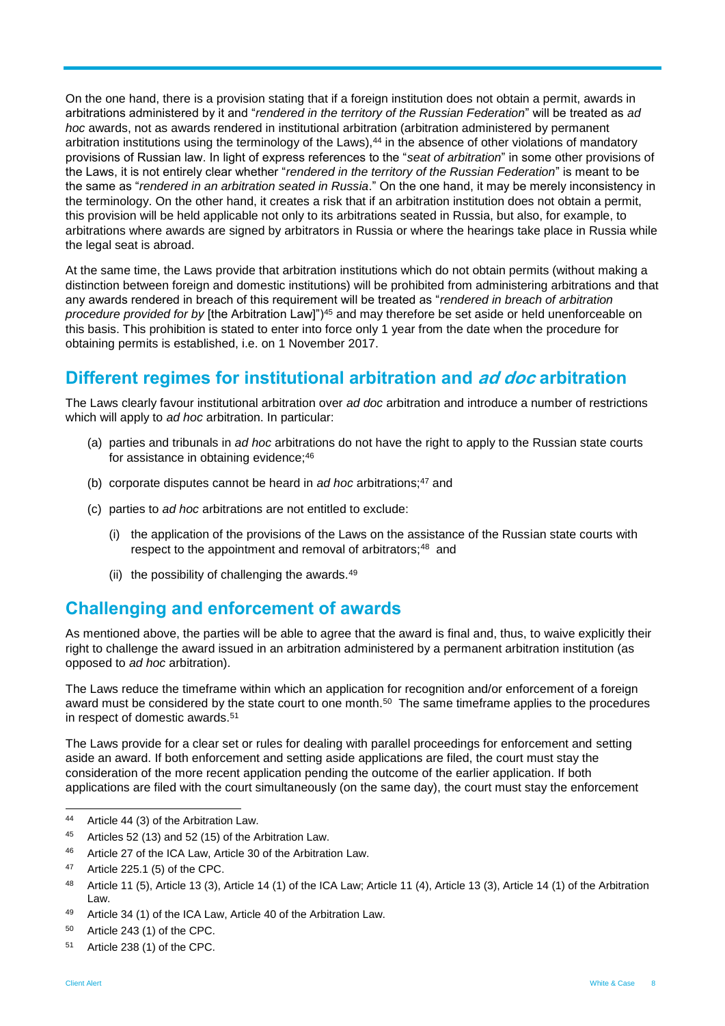On the one hand, there is a provision stating that if a foreign institution does not obtain a permit, awards in arbitrations administered by it and "*rendered in the territory of the Russian Federation*" will be treated as *ad hoc* awards, not as awards rendered in institutional arbitration (arbitration administered by permanent arbitration institutions using the terminology of the Laws),<sup>44</sup> in the absence of other violations of mandatory provisions of Russian law. In light of express references to the "*seat of arbitration*" in some other provisions of the Laws, it is not entirely clear whether "*rendered in the territory of the Russian Federation*" is meant to be the same as "*rendered in an arbitration seated in Russia*." On the one hand, it may be merely inconsistency in the terminology. On the other hand, it creates a risk that if an arbitration institution does not obtain a permit, this provision will be held applicable not only to its arbitrations seated in Russia, but also, for example, to arbitrations where awards are signed by arbitrators in Russia or where the hearings take place in Russia while the legal seat is abroad.

At the same time, the Laws provide that arbitration institutions which do not obtain permits (without making a distinction between foreign and domestic institutions) will be prohibited from administering arbitrations and that any awards rendered in breach of this requirement will be treated as "*rendered in breach of arbitration procedure provided for by* [the Arbitration Law]")<sup>45</sup> and may therefore be set aside or held unenforceable on this basis. This prohibition is stated to enter into force only 1 year from the date when the procedure for obtaining permits is established, i.e. on 1 November 2017.

## **Different regimes for institutional arbitration and ad doc arbitration**

The Laws clearly favour institutional arbitration over *ad doc* arbitration and introduce a number of restrictions which will apply to *ad hoc* arbitration. In particular:

- (a) parties and tribunals in *ad hoc* arbitrations do not have the right to apply to the Russian state courts for assistance in obtaining evidence;<sup>46</sup>
- (b) corporate disputes cannot be heard in *ad hoc* arbitrations;<sup>47</sup> and
- (c) parties to *ad hoc* arbitrations are not entitled to exclude:
	- (i) the application of the provisions of the Laws on the assistance of the Russian state courts with respect to the appointment and removal of arbitrators;<sup>48</sup> and
	- (ii) the possibility of challenging the awards. $49$

## **Challenging and enforcement of awards**

As mentioned above, the parties will be able to agree that the award is final and, thus, to waive explicitly their right to challenge the award issued in an arbitration administered by a permanent arbitration institution (as opposed to *ad hoc* arbitration).

The Laws reduce the timeframe within which an application for recognition and/or enforcement of a foreign award must be considered by the state court to one month.<sup>50</sup> The same timeframe applies to the procedures in respect of domestic awards.<sup>51</sup>

The Laws provide for a clear set or rules for dealing with parallel proceedings for enforcement and setting aside an award. If both enforcement and setting aside applications are filed, the court must stay the consideration of the more recent application pending the outcome of the earlier application. If both applications are filed with the court simultaneously (on the same day), the court must stay the enforcement

 $44$ <sup>44</sup> Article 44 (3) of the Arbitration Law.

<sup>45</sup> Articles 52 (13) and 52 (15) of the Arbitration Law.

<sup>46</sup> Article 27 of the ICA Law, Article 30 of the Arbitration Law.

<sup>47</sup> Article 225.1 (5) of the CPC.

<sup>48</sup> Article 11 (5), Article 13 (3), Article 14 (1) of the ICA Law; Article 11 (4), Article 13 (3), Article 14 (1) of the Arbitration Law.

<sup>49</sup> Article 34 (1) of the ICA Law, Article 40 of the Arbitration Law.

<sup>50</sup> Article 243 (1) of the CPC.

<sup>51</sup> Article 238 (1) of the CPC.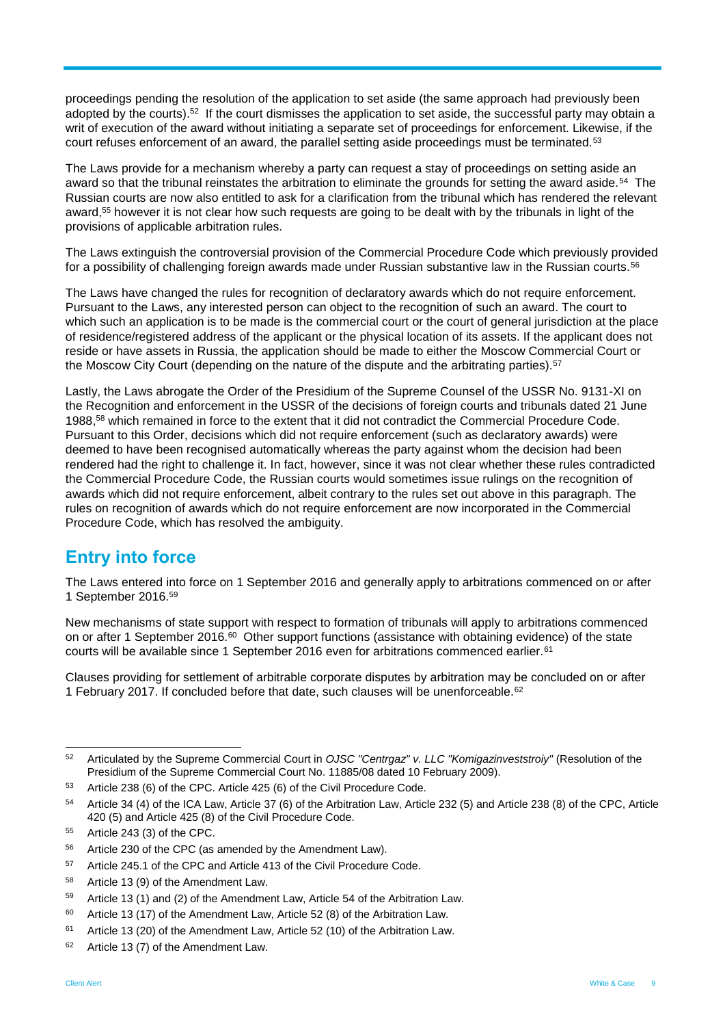proceedings pending the resolution of the application to set aside (the same approach had previously been adopted by the courts).<sup>52</sup> If the court dismisses the application to set aside, the successful party may obtain a writ of execution of the award without initiating a separate set of proceedings for enforcement. Likewise, if the court refuses enforcement of an award, the parallel setting aside proceedings must be terminated.<sup>53</sup>

The Laws provide for a mechanism whereby a party can request a stay of proceedings on setting aside an award so that the tribunal reinstates the arbitration to eliminate the grounds for setting the award aside.<sup>54</sup> The Russian courts are now also entitled to ask for a clarification from the tribunal which has rendered the relevant award,<sup>55</sup> however it is not clear how such requests are going to be dealt with by the tribunals in light of the provisions of applicable arbitration rules.

The Laws extinguish the controversial provision of the Commercial Procedure Code which previously provided for a possibility of challenging foreign awards made under Russian substantive law in the Russian courts.<sup>56</sup>

The Laws have changed the rules for recognition of declaratory awards which do not require enforcement. Pursuant to the Laws, any interested person can object to the recognition of such an award. The court to which such an application is to be made is the commercial court or the court of general jurisdiction at the place of residence/registered address of the applicant or the physical location of its assets. If the applicant does not reside or have assets in Russia, the application should be made to either the Moscow Commercial Court or the Moscow City Court (depending on the nature of the dispute and the arbitrating parties).<sup>57</sup>

Lastly, the Laws abrogate the Order of the Presidium of the Supreme Counsel of the USSR No. 9131-XI on the Recognition and enforcement in the USSR of the decisions of foreign courts and tribunals dated 21 June 1988, <sup>58</sup> which remained in force to the extent that it did not contradict the Commercial Procedure Code. Pursuant to this Order, decisions which did not require enforcement (such as declaratory awards) were deemed to have been recognised automatically whereas the party against whom the decision had been rendered had the right to challenge it. In fact, however, since it was not clear whether these rules contradicted the Commercial Procedure Code, the Russian courts would sometimes issue rulings on the recognition of awards which did not require enforcement, albeit contrary to the rules set out above in this paragraph. The rules on recognition of awards which do not require enforcement are now incorporated in the Commercial Procedure Code, which has resolved the ambiguity.

# **Entry into force**

The Laws entered into force on 1 September 2016 and generally apply to arbitrations commenced on or after 1 September 2016.<sup>59</sup>

New mechanisms of state support with respect to formation of tribunals will apply to arbitrations commenced on or after 1 September 2016.<sup>60</sup> Other support functions (assistance with obtaining evidence) of the state courts will be available since 1 September 2016 even for arbitrations commenced earlier.<sup>61</sup>

Clauses providing for settlement of arbitrable corporate disputes by arbitration may be concluded on or after 1 February 2017. If concluded before that date, such clauses will be unenforceable.<sup>62</sup>

 $52$ <sup>52</sup> Articulated by the Supreme Commercial Court in *OJSC "Centrgaz" v. LLC "Komigazinveststroiy"* (Resolution of the Presidium of the Supreme Commercial Court No. 11885/08 dated 10 February 2009).

<sup>53</sup> Article 238 (6) of the CPC. Article 425 (6) of the Civil Procedure Code.

<sup>54</sup> Article 34 (4) of the ICA Law, Article 37 (6) of the Arbitration Law, Article 232 (5) and Article 238 (8) of the CPC, Article 420 (5) and Article 425 (8) of the Civil Procedure Code.

<sup>55</sup> Article 243 (3) of the CPC.

<sup>56</sup> Article 230 of the CPC (as amended by the Amendment Law).

<sup>&</sup>lt;sup>57</sup> Article 245.1 of the CPC and Article 413 of the Civil Procedure Code.

<sup>58</sup> Article 13 (9) of the Amendment Law.

<sup>59</sup> Article 13 (1) and (2) of the Amendment Law, Article 54 of the Arbitration Law.

 $60$  Article 13 (17) of the Amendment Law, Article 52 (8) of the Arbitration Law.

 $61$  Article 13 (20) of the Amendment Law, Article 52 (10) of the Arbitration Law.

 $62$  Article 13 (7) of the Amendment Law.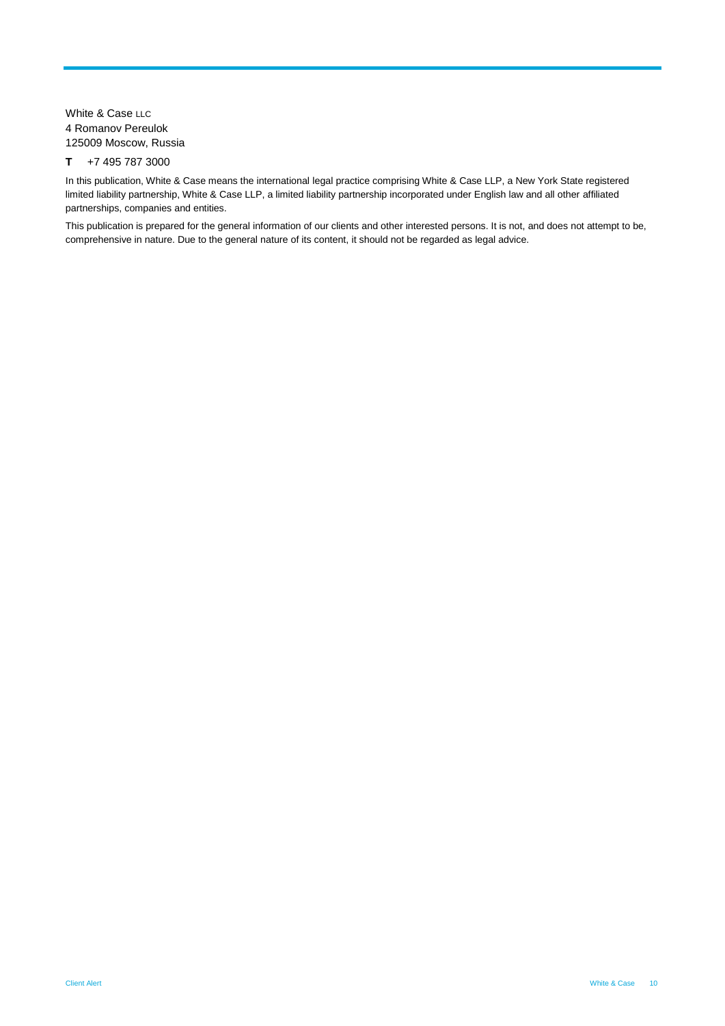White & Case LLC 4 Romanov Pereulok 125009 Moscow, Russia

#### **T** +7 495 787 3000

In this publication, White & Case means the international legal practice comprising White & Case LLP, a New York State registered limited liability partnership, White & Case LLP, a limited liability partnership incorporated under English law and all other affiliated partnerships, companies and entities.

This publication is prepared for the general information of our clients and other interested persons. It is not, and does not attempt to be, comprehensive in nature. Due to the general nature of its content, it should not be regarded as legal advice.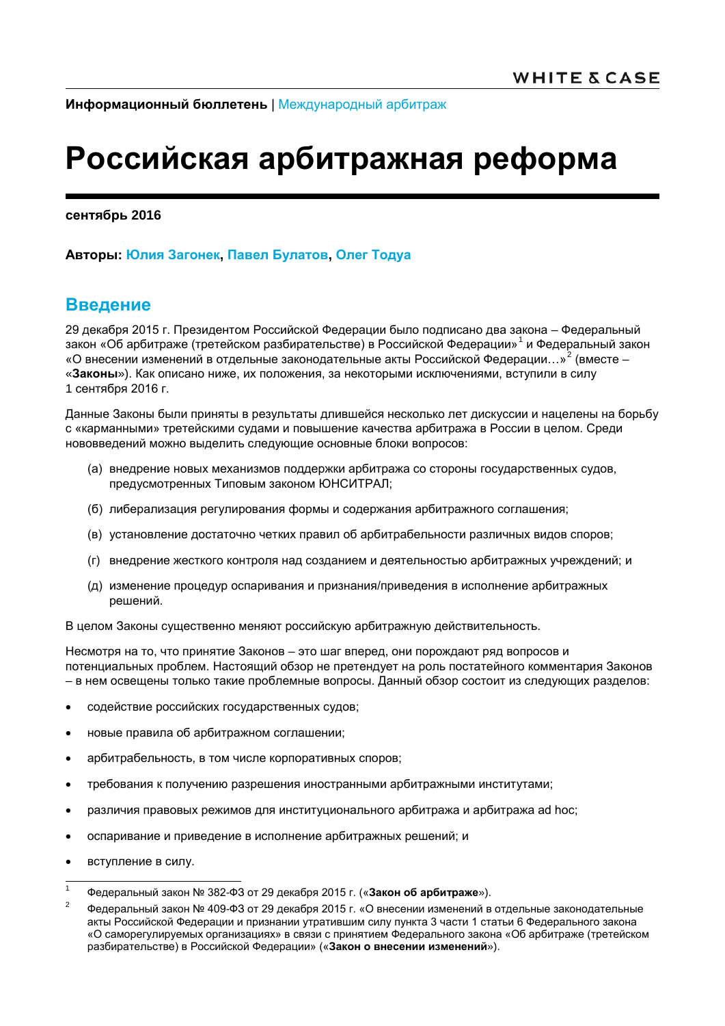**Информационный бюллетень** | [Международный арбитраж](http://www.whitecase.com/law/practices/international-arbitration)

# **Российская арбитражная реформа**

**сентябрь 2016**

**Авторы: [Юлия Загонек](http://www.whitecase.com/people/julia-zagonek), [Павел Булатов](http://www.whitecase.com/people/pavel-boulatov), [Олег Тодуа](http://www.whitecase.com/people/oleg-todua)**

## **Введение**

29 декабря 2015 г. Президентом Российской Федерации было подписано два закона – Федеральный закон «Об арбитраже (третейском разбирательстве) в Российской Федерации»<sup>[1](#page-10-0)</sup> и Федеральный закон «О внесении изменений в отдельные законодательные акты Российской Федерации...»<sup>[2](#page-10-1)</sup> (вместе – «**Законы**»). Как описано ниже, их положения, за некоторыми исключениями, вступили в силу 1 сентября 2016 г.

Данные Законы были приняты в результаты длившейся несколько лет дискуссии и нацелены на борьбу с «карманными» третейскими судами и повышение качества арбитража в России в целом. Среди нововведений можно выделить следующие основные блоки вопросов:

- (а) внедрение новых механизмов поддержки арбитража со стороны государственных судов, предусмотренных Типовым законом ЮНСИТРАЛ;
- (б) либерализация регулирования формы и содержания арбитражного соглашения;
- (в) установление достаточно четких правил об арбитрабельности различных видов споров;
- (г) внедрение жесткого контроля над созданием и деятельностью арбитражных учреждений; и
- (д) изменение процедур оспаривания и признания/приведения в исполнение арбитражных решений.

В целом Законы существенно меняют российскую арбитражную действительность.

Несмотря на то, что принятие Законов – это шаг вперед, они порождают ряд вопросов и потенциальных проблем. Настоящий обзор не претендует на роль постатейного комментария Законов – в нем освещены только такие проблемные вопросы. Данный обзор состоит из следующих разделов:

- содействие российских государственных судов;
- новые правила об арбитражном соглашении;
- арбитрабельность, в том числе корпоративных споров;
- требования к получению разрешения иностранными арбитражными институтами;
- различия правовых режимов для институционального арбитража и арбитража ad hoc;
- оспаривание и приведение в исполнение арбитражных решений; и
- вступление в силу.

<span id="page-10-0"></span> <sup>1</sup> Федеральный закон № 382-ФЗ от 29 декабря 2015 г. («**Закон об арбитраже**»).

<span id="page-10-1"></span><sup>&</sup>lt;sup>2</sup> Федеральный закон № 409-ФЗ от 29 декабря 2015 г. «О внесении изменений в отдельные законодательные акты Российской Федерации и признании утратившим силу пункта 3 части 1 статьи 6 Федерального закона «О саморегулируемых организациях» в связи с принятием Федерального закона «Об арбитраже (третейском разбирательстве) в Российской Федерации» («**Закон о внесении изменений**»).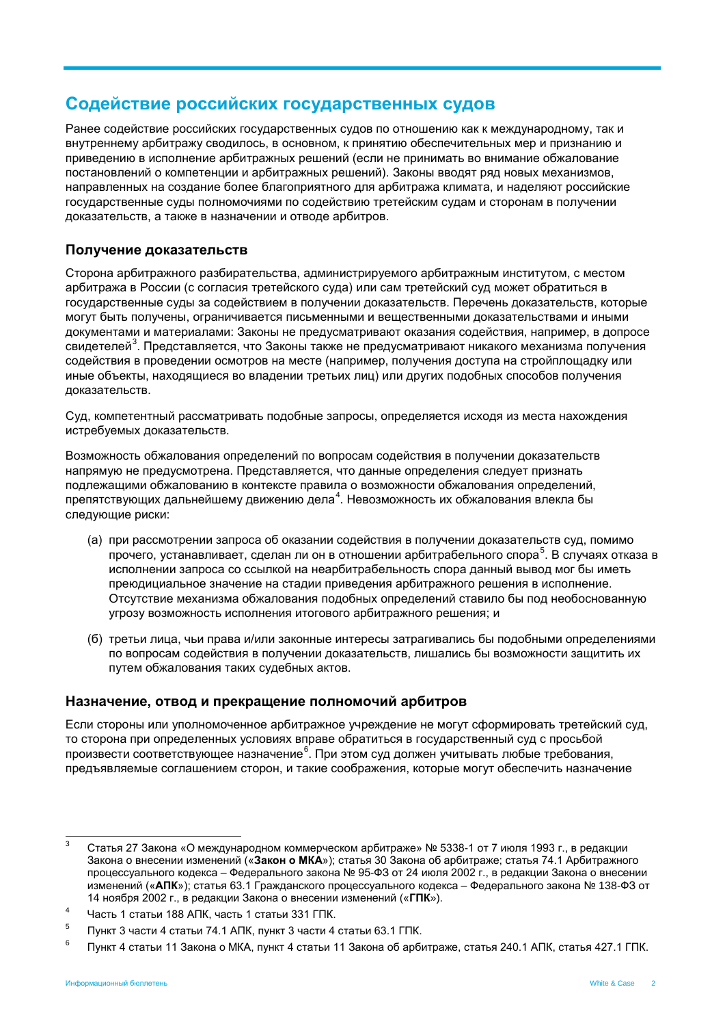## **Содействие российских государственных судов**

Ранее содействие российских государственных судов по отношению как к международному, так и внутреннему арбитражу сводилось, в основном, к принятию обеспечительных мер и признанию и приведению в исполнение арбитражных решений (если не принимать во внимание обжалование постановлений о компетенции и арбитражных решений). Законы вводят ряд новых механизмов, направленных на создание более благоприятного для арбитража климата, и наделяют российские государственные суды полномочиями по содействию третейским судам и сторонам в получении доказательств, а также в назначении и отводе арбитров.

### **Получение доказательств**

Сторона арбитражного разбирательства, администрируемого арбитражным институтом, с местом арбитража в России (с согласия третейского суда) или сам третейский суд может обратиться в государственные суды за содействием в получении доказательств. Перечень доказательств, которые могут быть получены, ограничивается письменными и вещественными доказательствами и иными документами и материалами: Законы не предусматривают оказания содействия, например, в допросе свидетелей<sup>[3](#page-11-0)</sup>. Представляется, что Законы также не предусматривают никакого механизма получения содействия в проведении осмотров на месте (например, получения доступа на стройплощадку или иные объекты, находящиеся во владении третьих лиц) или других подобных способов получения доказательств.

Суд, компетентный рассматривать подобные запросы, определяется исходя из места нахождения истребуемых доказательств.

Возможность обжалования определений по вопросам содействия в получении доказательств напрямую не предусмотрена. Представляется, что данные определения следует признать подлежащими обжалованию в контексте правила о возможности обжалования определений, препятствующих дальнейшему движению дела $^4$  $^4$ . Невозможность их обжалования влекла бы следующие риски:

- (а) при рассмотрении запроса об оказании содействия в получении доказательств суд, помимо прочего, устанавливает, сделан ли он в отношении арбитрабельного спора<sup>[5](#page-11-2)</sup>. В случаях отказа в исполнении запроса со ссылкой на неарбитрабельность спора данный вывод мог бы иметь преюдициальное значение на стадии приведения арбитражного решения в исполнение. Отсутствие механизма обжалования подобных определений ставило бы под необоснованную угрозу возможность исполнения итогового арбитражного решения; и
- (б) третьи лица, чьи права и/или законные интересы затрагивались бы подобными определениями по вопросам содействия в получении доказательств, лишались бы возможности защитить их путем обжалования таких судебных актов.

### **Назначение, отвод и прекращение полномочий арбитров**

Если стороны или уполномоченное арбитражное учреждение не могут сформировать третейский суд, то сторона при определенных условиях вправе обратиться в государственный суд с просьбой произвести соответствующее назначение<sup>[6](#page-11-3)</sup>. При этом суд должен учитывать любые требования, предъявляемые соглашением сторон, и такие соображения, которые могут обеспечить назначение

<span id="page-11-0"></span><sup>&</sup>lt;sup>3</sup> Статья 27 Закона «О международном коммерческом арбитраже» № 5338-1 от 7 июля 1993 г., в редакции Закона о внесении изменений («**Закон о МКА**»); статья 30 Закона об арбитраже; статья 74.1 Арбитражного процессуального кодекса – Федерального закона № 95-ФЗ от 24 июля 2002 г., в редакции Закона о внесении изменений («**АПК**»); статья 63.1 Гражданского процессуального кодекса – Федерального закона № 138-ФЗ от 14 ноября 2002 г., в редакции Закона о внесении изменений («**ГПК**»).

<span id="page-11-1"></span><sup>&</sup>lt;sup>4</sup> Часть 1 статьи 188 АПК, часть 1 статьи 331 ГПК.

<span id="page-11-2"></span><sup>5</sup> Пункт 3 части 4 статьи 74.1 АПК, пункт 3 части 4 статьи 63.1 ГПК.

<span id="page-11-3"></span> $6$  Пункт 4 статьи 11 Закона о МКА, пункт 4 статьи 11 Закона об арбитраже, статья 240.1 АПК, статья 427.1 ГПК.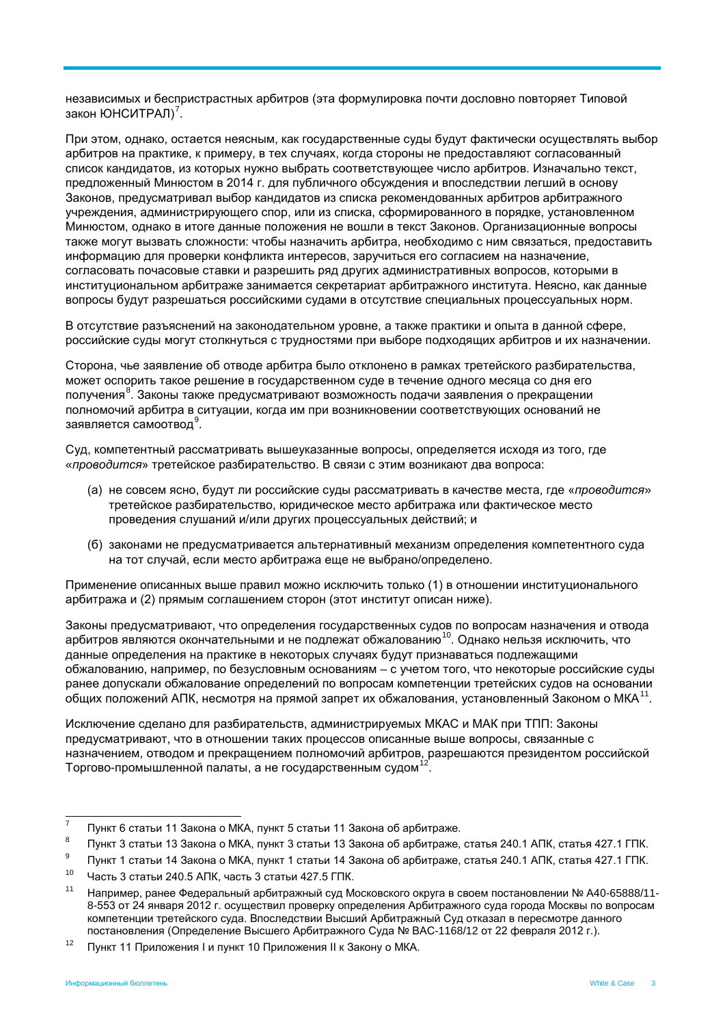независимых и беспристрастных арбитров (эта формулировка почти дословно повторяет Типовой закон ЮНСИТРАЛ)<sup>[7](#page-12-0)</sup>.

При этом, однако, остается неясным, как государственные суды будут фактически осуществлять выбор арбитров на практике, к примеру, в тех случаях, когда стороны не предоставляют согласованный список кандидатов, из которых нужно выбрать соответствующее число арбитров. Изначально текст, предложенный Минюстом в 2014 г. для публичного обсуждения и впоследствии легший в основу Законов, предусматривал выбор кандидатов из списка рекомендованных арбитров арбитражного учреждения, администрирующего спор, или из списка, сформированного в порядке, установленном Минюстом, однако в итоге данные положения не вошли в текст Законов. Организационные вопросы также могут вызвать сложности: чтобы назначить арбитра, необходимо с ним связаться, предоставить информацию для проверки конфликта интересов, заручиться его согласием на назначение, согласовать почасовые ставки и разрешить ряд других административных вопросов, которыми в институциональном арбитраже занимается секретариат арбитражного института. Неясно, как данные вопросы будут разрешаться российскими судами в отсутствие специальных процессуальных норм.

В отсутствие разъяснений на законодательном уровне, а также практики и опыта в данной сфере, российские суды могут столкнуться с трудностями при выборе подходящих арбитров и их назначении.

Сторона, чье заявление об отводе арбитра было отклонено в рамках третейского разбирательства, может оспорить такое решение в государственном суде в течение одного месяца со дня его получения<sup>[8](#page-12-1)</sup>. Законы также предусматривают возможность подачи заявления о прекращении полномочий арбитра в ситуации, когда им при возникновении соответствующих оснований не заявляется самоотвод $^9$  $^9$ .

Суд, компетентный рассматривать вышеуказанные вопросы, определяется исходя из того, где «*проводится*» третейское разбирательство. В связи с этим возникают два вопроса:

- (а) не совсем ясно, будут ли российские суды рассматривать в качестве места, где «*проводится*» третейское разбирательство, юридическое место арбитража или фактическое место проведения слушаний и/или других процессуальных действий; и
- (б) законами не предусматривается альтернативный механизм определения компетентного суда на тот случай, если место арбитража еще не выбрано/определено.

Применение описанных выше правил можно исключить только (1) в отношении институционального арбитража и (2) прямым соглашением сторон (этот институт описан ниже).

Законы предусматривают, что определения государственных судов по вопросам назначения и отвода арбитров являются окончательными и не подлежат обжалованию<sup>[10](#page-12-3)</sup>. Однако нельзя исключить, что данные определения на практике в некоторых случаях будут признаваться подлежащими обжалованию, например, по безусловным основаниям – с учетом того, что некоторые российские суды ранее допускали обжалование определений по вопросам компетенции третейских судов на основании общих положений АПК, несмотря на прямой запрет их обжалования, установленный Законом о МКА<sup>[11](#page-12-4)</sup>.

Исключение сделано для разбирательств, администрируемых МКАС и МАК при ТПП: Законы предусматривают, что в отношении таких процессов описанные выше вопросы, связанные с назначением, отводом и прекращением полномочий арбитров, разрешаются президентом российской Торгово-промышленной палаты, а не государственным судом  $12$ .

<span id="page-12-5"></span><sup>12</sup> Пункт 11 Приложения I и пункт 10 Приложения II к Закону о МКА.

<span id="page-12-0"></span> $7$  Пункт 6 статьи 11 Закона о МКА, пункт 5 статьи 11 Закона об арбитраже.

<span id="page-12-1"></span><sup>8</sup> Пункт 3 статьи 13 Закона о МКА, пункт 3 статьи 13 Закона об арбитраже, статья 240.1 АПК, статья 427.1 ГПК.

<span id="page-12-2"></span><sup>&</sup>lt;sup>9</sup> Пункт 1 статьи 14 Закона о МКА, пункт 1 статьи 14 Закона об арбитраже, статья 240.1 АПК, статья 427.1 ГПК.

<span id="page-12-3"></span> $10$  Часть 3 статьи 240.5 АПК, часть 3 статьи 427.5 ГПК.

<span id="page-12-4"></span><sup>11</sup> Например, ранее Федеральный арбитражный суд Московского округа в своем постановлении № А40-65888/11- 8-553 от 24 января 2012 г. осуществил проверку определения Арбитражного суда города Москвы по вопросам компетенции третейского суда. Впоследствии Высший Арбитражный Суд отказал в пересмотре данного постановления (Определение Высшего Арбитражного Суда № ВАС-1168/12 от 22 февраля 2012 г.).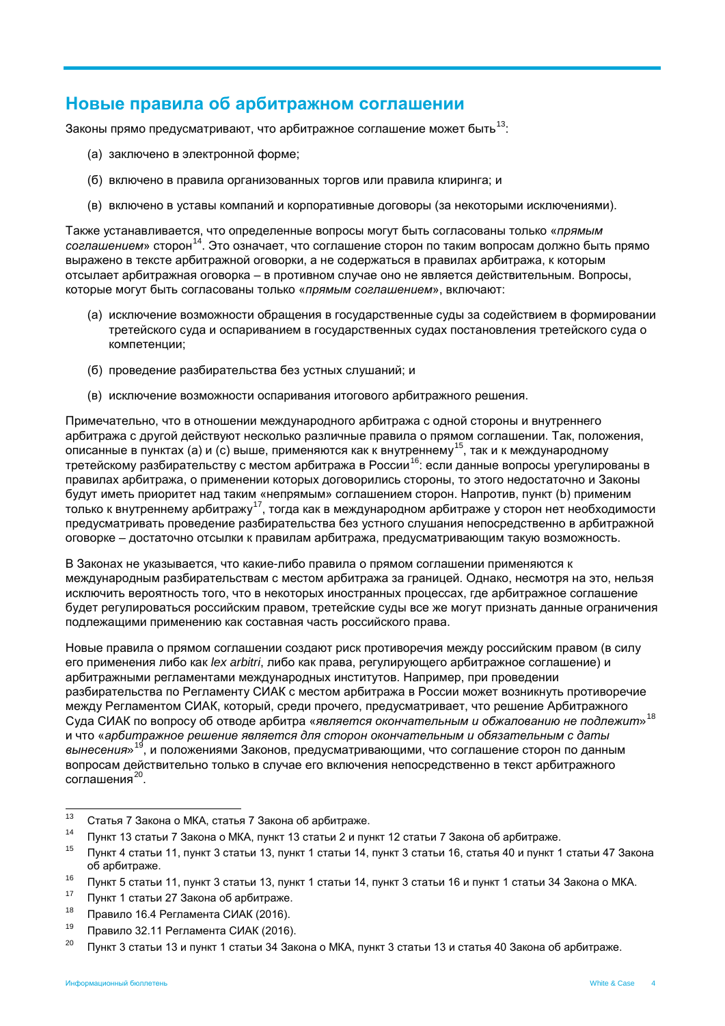## **Новые правила об арбитражном соглашении**

Законы прямо предусматривают, что арбитражное соглашение может быть<sup>[13](#page-13-0)</sup>:

- (а) заключено в электронной форме;
- (б) включено в правила организованных торгов или правила клиринга; и
- (в) включено в уставы компаний и корпоративные договоры (за некоторыми исключениями).

Также устанавливается, что определенные вопросы могут быть согласованы только «*прямым соглашением*» сторон[14.](#page-13-1) Это означает, что соглашение сторон по таким вопросам должно быть прямо выражено в тексте арбитражной оговорки, а не содержаться в правилах арбитража, к которым отсылает арбитражная оговорка – в противном случае оно не является действительным. Вопросы, которые могут быть согласованы только «*прямым соглашением*», включают:

- (а) исключение возможности обращения в государственные суды за содействием в формировании третейского суда и оспариванием в государственных судах постановления третейского суда о компетенции;
- (б) проведение разбирательства без устных слушаний; и
- (в) исключение возможности оспаривания итогового арбитражного решения.

Примечательно, что в отношении международного арбитража с одной стороны и внутреннего арбитража с другой действуют несколько различные правила о прямом соглашении. Так, положения, описанные в пунктах (а) и (с) выше, применяются как к внутреннему[15](#page-13-2), так и к международному **тительные в путкнех (e) и (e) выше, приметитетельстви и слутрентему и текси в междунереднему** в третейскому разбирательству с местом арбитража в России<sup>[16](#page-13-3)</sup>: если данные вопросы урегулированы в правилах арбитража, о применении которых договорились стороны, то этого недостаточно и Законы будут иметь приоритет над таким «непрямым» соглашением сторон. Напротив, пункт (b) применим только к внутреннему арбитражу[17](#page-13-4), тогда как в международном арбитраже у сторон нет необходимости предусматривать проведение разбирательства без устного слушания непосредственно в арбитражной оговорке – достаточно отсылки к правилам арбитража, предусматривающим такую возможность.

В Законах не указывается, что какие-либо правила о прямом соглашении применяются к международным разбирательствам с местом арбитража за границей. Однако, несмотря на это, нельзя исключить вероятность того, что в некоторых иностранных процессах, где арбитражное соглашение будет регулироваться российским правом, третейские суды все же могут признать данные ограничения подлежащими применению как составная часть российского права.

Новые правила о прямом соглашении создают риск противоречия между российским правом (в силу его применения либо как *lex arbitri*, либо как права, регулирующего арбитражное соглашение) и арбитражными регламентами международных институтов. Например, при проведении разбирательства по Регламенту СИАК с местом арбитража в России может возникнуть противоречие между Регламентом СИАК, который, среди прочего, предусматривает, что решение Арбитражного Суда СИАК по вопросу об отводе арбитра «*является окончательным и обжалованию не подлежит*»[18](#page-13-5) и что «*арбитражное решение является для сторон окончательным и обязательным с даты вынесения*»[19](#page-13-6), и положениями Законов, предусматривающими, что соглашение сторон по данным вопросам действительно только в случае его включения непосредственно в текст арбитражного соглашения $^{20}$  $^{20}$  $^{20}$ 

<sup>19</sup> Правило 32.11 Регламента СИАК (2016).

<span id="page-13-0"></span><sup>&</sup>lt;sup>13</sup> Статья 7 Закона о МКА, статья 7 Закона об арбитраже.

<span id="page-13-1"></span><sup>&</sup>lt;sup>14</sup> Пункт 13 статьи 7 Закона о МКА, пункт 13 статьи 2 и пункт 12 статьи 7 Закона об арбитраже.<br><sup>15</sup> Published 12 million 200 million 12 million 200 million 200 million 200 million 200 million 200 million 200

<span id="page-13-2"></span><sup>15</sup> Пункт 4 статьи 11, пункт 3 статьи 13, пункт 1 статьи 14, пункт 3 статьи 16, статья 40 и пункт 1 статьи 47 Закона об арбитраже.

<span id="page-13-3"></span><sup>&</sup>lt;sup>16</sup> Пункт 5 статьи 11, пункт 3 статьи 13, пункт 1 статьи 14, пункт 3 статьи 16 и пункт 1 статьи 34 Закона о МКА.

<span id="page-13-4"></span><sup>&</sup>lt;sup>17</sup> Пункт 1 статьи 27 Закона об арбитраже.

<span id="page-13-5"></span> $^{18}$  Правило 16.4 Регламента СИАК (2016).

<span id="page-13-7"></span><span id="page-13-6"></span><sup>&</sup>lt;sup>20</sup> Пункт 3 статьи 13 и пункт 1 статьи 34 Закона о МКА, пункт 3 статьи 13 и статья 40 Закона об арбитраже.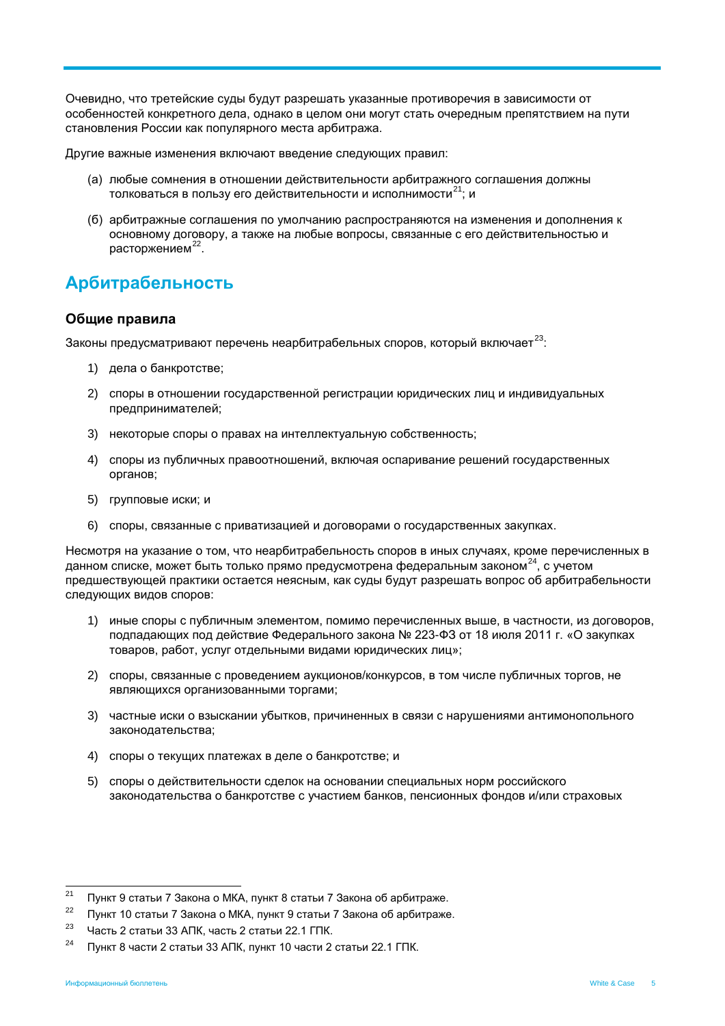Очевидно, что третейские суды будут разрешать указанные противоречия в зависимости от особенностей конкретного дела, однако в целом они могут стать очередным препятствием на пути становления России как популярного места арбитража.

Другие важные изменения включают введение следующих правил:

- (а) любые сомнения в отношении действительности арбитражного соглашения должны толковаться в пользу его действительности и исполнимости<sup>[21](#page-14-0)</sup>; и
- (б) арбитражные соглашения по умолчанию распространяются на изменения и дополнения к основному договору, а также на любые вопросы, связанные с его действительностью и расторжением<sup>[22](#page-14-1)</sup>.

## **Арбитрабельность**

### **Общие правила**

Законы предусматривают перечень неарбитрабельных споров, который включает<sup>[23](#page-14-2)</sup>:

- 1) дела о банкротстве;
- 2) споры в отношении государственной регистрации юридических лиц и индивидуальных предпринимателей;
- 3) некоторые споры о правах на интеллектуальную собственность;
- 4) споры из публичных правоотношений, включая оспаривание решений государственных органов;
- 5) групповые иски; и
- 6) споры, связанные с приватизацией и договорами о государственных закупках.

Несмотря на указание о том, что неарбитрабельность споров в иных случаях, кроме перечисленных в данном списке, может быть только прямо предусмотрена федеральным законом<sup>[24](#page-14-3)</sup>, с учетом предшествующей практики остается неясным, как суды будут разрешать вопрос об арбитрабельности следующих видов споров:

- 1) иные споры с публичным элементом, помимо перечисленных выше, в частности, из договоров, подпадающих под действие Федерального закона № 223-ФЗ от 18 июля 2011 г. «О закупках товаров, работ, услуг отдельными видами юридических лиц»;
- 2) споры, связанные с проведением аукционов/конкурсов, в том числе публичных торгов, не являющихся организованными торгами;
- 3) частные иски о взыскании убытков, причиненных в связи с нарушениями антимонопольного законодательства;
- 4) споры о текущих платежах в деле о банкротстве; и
- 5) споры о действительности сделок на основании специальных норм российского законодательства о банкротстве с участием банков, пенсионных фондов и/или страховых

<span id="page-14-0"></span><sup>&</sup>lt;sup>21</sup> Пункт 9 статьи 7 Закона о МКА, пункт 8 статьи 7 Закона об арбитраже.

<span id="page-14-1"></span><sup>&</sup>lt;sup>22</sup> Пункт 10 статьи 7 Закона о МКА, пункт 9 статьи 7 Закона об арбитраже.<br><sup>23</sup> Llasti 2 stature 22 AFIC uses: 2 stature 22 4 FBIC

<span id="page-14-2"></span><sup>23</sup> Часть 2 статьи 33 АПК, часть 2 статьи 22.1 ГПК.

<span id="page-14-3"></span><sup>&</sup>lt;sup>24</sup> Пункт 8 части 2 статьи 33 АПК, пункт 10 части 2 статьи 22.1 ГПК.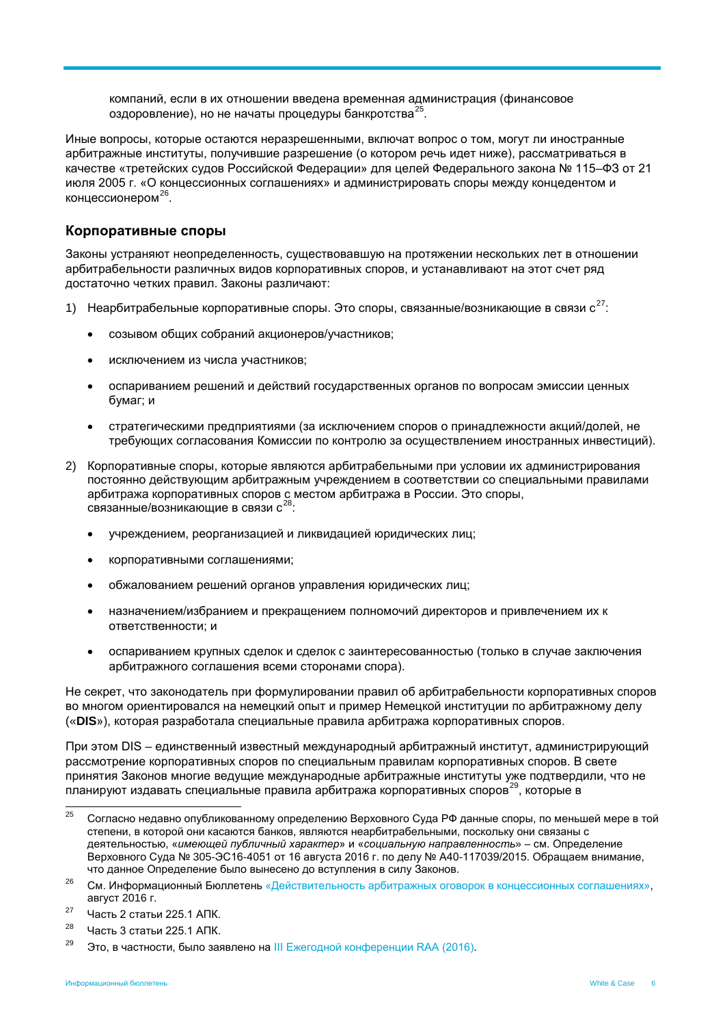компаний, если в их отношении введена временная администрация (финансовое оздоровление), но не начаты процедуры банкротства<sup>[25](#page-15-0)</sup>.

Иные вопросы, которые остаются неразрешенными, включат вопрос о том, могут ли иностранные арбитражные институты, получившие разрешение (о котором речь идет ниже), рассматриваться в качестве «третейских судов Российской Федерации» для целей Федерального закона № 115–ФЗ от 21 июля 2005 г. «О концессионных соглашениях» и администрировать споры между концедентом и концессионером<sup>26</sup>.

### **Корпоративные споры**

Законы устраняют неопределенность, существовавшую на протяжении нескольких лет в отношении арбитрабельности различных видов корпоративных споров, и устанавливают на этот счет ряд достаточно четких правил. Законы различают:

- 1) Неарбитрабельные корпоративные споры. Это споры, связанные/возникающие в связи  $c^{27}$  $c^{27}$  $c^{27}$ :
	- созывом общих собраний акционеров/участников;
	- исключением из числа участников;
	- оспариванием решений и действий государственных органов по вопросам эмиссии ценных бумаг; и
	- стратегическими предприятиями (за исключением споров о принадлежности акций/долей, не требующих согласования Комиссии по контролю за осуществлением иностранных инвестиций).
- 2) Корпоративные споры, которые являются арбитрабельными при условии их администрирования постоянно действующим арбитражным учреждением в соответствии со специальными правилами арбитража корпоративных споров с местом арбитража в России. Это споры, связанные/возникающие в связи  $c^{28}$ .
	- учреждением, реорганизацией и ликвидацией юридических лиц;
	- корпоративными соглашениями;
	- обжалованием решений органов управления юридических лиц;
	- назначением/избранием и прекращением полномочий директоров и привлечением их к ответственности; и
	- оспариванием крупных сделок и сделок с заинтересованностью (только в случае заключения арбитражного соглашения всеми сторонами спора).

Не секрет, что законодатель при формулировании правил об арбитрабельности корпоративных споров во многом ориентировался на немецкий опыт и пример Немецкой институции по арбитражному делу («**DIS**»), которая разработала специальные правила арбитража корпоративных споров.

При этом DIS – единственный известный международный арбитражный институт, администрирующий рассмотрение корпоративных споров по специальным правилам корпоративных споров. В свете принятия Законов многие ведущие международные арбитражные институты уже подтвердили, что не планируют издавать специальные правила арбитража корпоративных споров<sup>[29](#page-15-4)</sup>, которые в

<span id="page-15-0"></span><sup>&</sup>lt;sup>25</sup> Согласно недавно опубликованному определению Верховного Суда РФ данные споры, по меньшей мере в той степени, в которой они касаются банков, являются неарбитрабельными, поскольку они связаны с деятельностью, «*имеющей публичный характер*» и «*социальную направленность*» – см. Определение Верховного Суда № 305-ЭС16-4051 от 16 августа 2016 г. по делу № A40-117039/2015. Обращаем внимание, что данное Определение было вынесено до вступления в силу Законов.

<span id="page-15-1"></span><sup>&</sup>lt;sup>26</sup> См. Информационный Бюллетень [«Действительность арбитражных оговорок в концессионных соглашениях»](http://www.whitecase.com/sites/whitecase/files/files/download/publications/the_validity_of_arbitration_clauses_in_concession_agreements.pdf), август 2016 г.

<span id="page-15-2"></span><sup>&</sup>lt;sup>27</sup> Часть 2 статьи 225.1 АПК.<br><sup>28</sup> Llees: 2 sees: *4 225.1 A*ПК.

<span id="page-15-3"></span><sup>28</sup> Часть 3 статьи 225.1 АПК.

<span id="page-15-4"></span> $29$  Это, в частности, было заявлено на [III Ежегодной конференции RAA \(2016\)](http://arbitrations.ru/press-centr/news/iii-ezhegodnaya-konferentsiya-raa-2016/).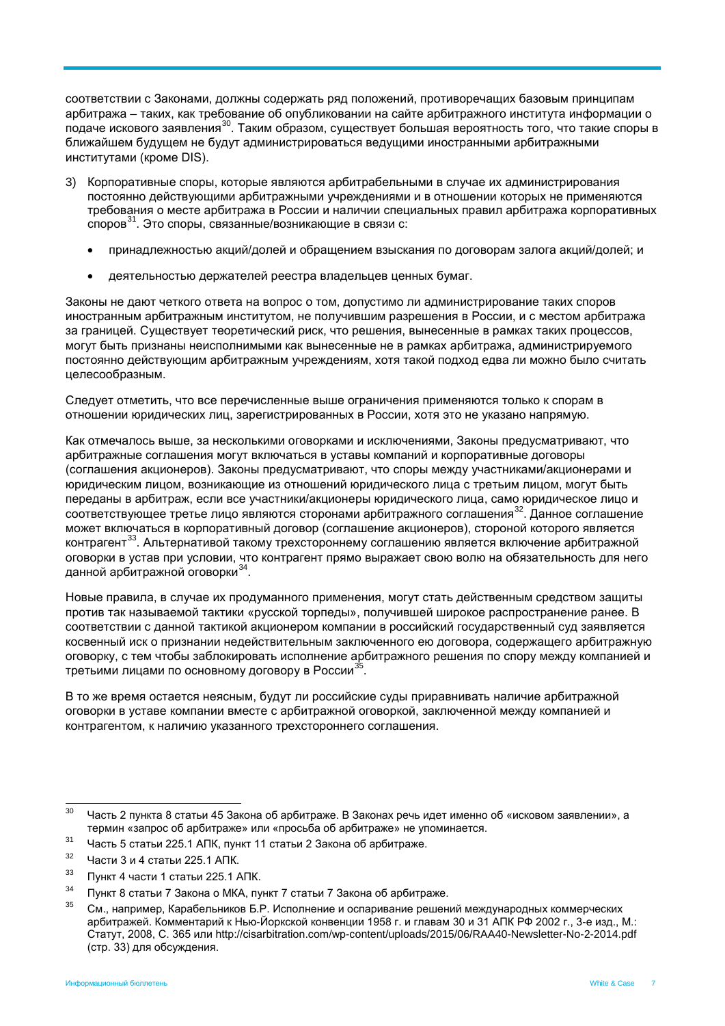соответствии с Законами, должны содержать ряд положений, противоречащих базовым принципам арбитража – таких, как требование об опубликовании на сайте арбитражного института информации о подаче искового заявления[30.](#page-16-0) Таким образом, существует большая вероятность того, что такие споры в ближайшем будущем не будут администрироваться ведущими иностранными арбитражными институтами (кроме DIS).

- 3) Корпоративные споры, которые являются арбитрабельными в случае их администрирования постоянно действующими арбитражными учреждениями и в отношении которых не применяются требования о месте арбитража в России и наличии специальных правил арбитража корпоративных споров[31.](#page-16-1) Это споры, связанные/возникающие в связи с:
	- принадлежностью акций/долей и обращением взыскания по договорам залога акций/долей; и
	- деятельностью держателей реестра владельцев ценных бумаг.

Законы не дают четкого ответа на вопрос о том, допустимо ли администрирование таких споров иностранным арбитражным институтом, не получившим разрешения в России, и с местом арбитража за границей. Существует теоретический риск, что решения, вынесенные в рамках таких процессов, могут быть признаны неисполнимыми как вынесенные не в рамках арбитража, администрируемого постоянно действующим арбитражным учреждениям, хотя такой подход едва ли можно было считать целесообразным.

Следует отметить, что все перечисленные выше ограничения применяются только к спорам в отношении юридических лиц, зарегистрированных в России, хотя это не указано напрямую.

Как отмечалось выше, за несколькими оговорками и исключениями, Законы предусматривают, что арбитражные соглашения могут включаться в уставы компаний и корпоративные договоры (соглашения акционеров). Законы предусматривают, что споры между участниками/акционерами и юридическим лицом, возникающие из отношений юридического лица с третьим лицом, могут быть переданы в арбитраж, если все участники/акционеры юридического лица, само юридическое лицо и соответствующее третье лицо являются сторонами арбитражного соглашения<sup>32</sup>. Данное соглашение может включаться в корпоративный договор (соглашение акционеров), стороной которого является контрагент<sup>[33](#page-16-3)</sup>. Альтернативой такому трехстороннему соглашению является включение арбитражной оговорки в устав при условии, что контрагент прямо выражает свою волю на обязательность для него данной арбитражной оговорки<sup>[34](#page-16-4)</sup>.

Новые правила, в случае их продуманного применения, могут стать действенным средством защиты против так называемой тактики «русской торпеды», получившей широкое распространение ранее. В соответствии с данной тактикой акционером компании в российский государственный суд заявляется косвенный иск о признании недействительным заключенного ею договора, содержащего арбитражную оговорку, с тем чтобы заблокировать исполнение арбитражного решения по спору между компанией и третьими лицами по основному договору в России<sup>35</sup>.

В то же время остается неясным, будут ли российские суды приравнивать наличие арбитражной оговорки в уставе компании вместе с арбитражной оговоркой, заключенной между компанией и контрагентом, к наличию указанного трехстороннего соглашения.

<span id="page-16-1"></span> $31$  Часть 5 статьи 225.1 АПК, пункт 11 статьи 2 Закона об арбитраже.

- <span id="page-16-3"></span> $33$  Пункт 4 части 1 статьи 225.1 АПК.
- <span id="page-16-4"></span> $34$  Пункт 8 статьи 7 Закона о МКА, пункт 7 статьи 7 Закона об арбитраже.

<span id="page-16-0"></span> $30 -$  Часть 2 пункта 8 статьи 45 Закона об арбитраже. В Законах речь идет именно об «исковом заявлении», а термин «запрос об арбитраже» или «просьба об арбитраже» не упоминается.

<span id="page-16-2"></span> $32$  Части 3 и 4 статьи 225.1 АПК.

<span id="page-16-5"></span><sup>35</sup> См., например, Карабельников Б.Р. Исполнение и оспаривание решений международных коммерческих арбитражей. Комментарий к Нью-Йоркской конвенции 1958 г. и главам 30 и 31 АПК РФ 2002 г., 3-е изд., М.: Статут, 2008, С. 365 или http://cisarbitration.com/wp-content/uploads/2015/06/RAA40-Newsletter-No-2-2014.pdf (стр. 33) для обсуждения.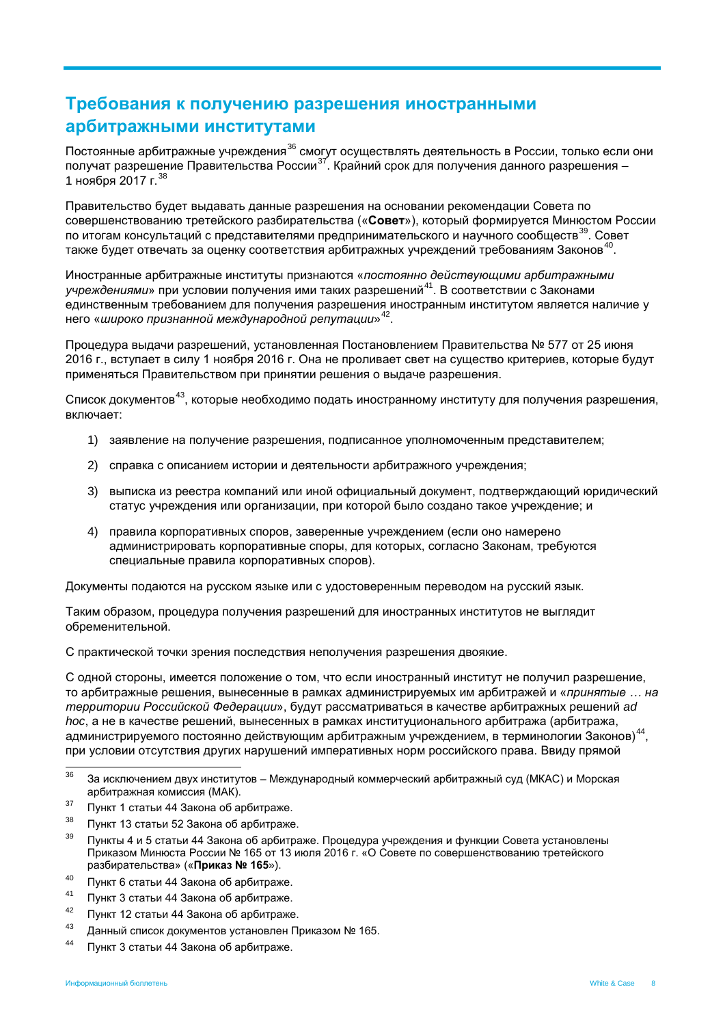# **Требования к получению разрешения иностранными арбитражными институтами**

Постоянные арбитражные учреждения<sup>[36](#page-17-0)</sup> смогут осуществлять деятельность в России, только если они получат разрешение Правительства России<sup>[37](#page-17-1)</sup>. Крайний срок для получения данного разрешения – 1 ноября 2017 г.[38](#page-17-2)

Правительство будет выдавать данные разрешения на основании рекомендации Совета по совершенствованию третейского разбирательства («**Совет**»), который формируется Минюстом России по итогам консультаций с представителями предпринимательского и научного сообществ<sup>[39](#page-17-3)</sup>. Совет также будет отвечать за оценку соответствия арбитражных учреждений требованиям Законов<sup>40</sup>.

Иностранные арбитражные институты признаются «*постоянно действующими арбитражными учреждениями*» при условии получения ими таких разрешений[41.](#page-17-5) В соответствии с Законами единственным требованием для получения разрешения иностранным институтом является наличие у него «*широко признанной международной репутации*»[42](#page-17-6).

Процедура выдачи разрешений, установленная Постановлением Правительства № 577 от 25 июня 2016 г., вступает в силу 1 ноября 2016 г. Она не проливает свет на существо критериев, которые будут применяться Правительством при принятии решения о выдаче разрешения.

Список документов<sup>43</sup>, которые необходимо подать иностранному институту для получения разрешения, включает:

- 1) заявление на получение разрешения, подписанное уполномоченным представителем;
- 2) справка с описанием истории и деятельности арбитражного учреждения;
- 3) выписка из реестра компаний или иной официальный документ, подтверждающий юридический статус учреждения или организации, при которой было создано такое учреждение; и
- 4) правила корпоративных споров, заверенные учреждением (если оно намерено администрировать корпоративные споры, для которых, согласно Законам, требуются специальные правила корпоративных споров).

Документы подаются на русском языке или с удостоверенным переводом на русский язык.

Таким образом, процедура получения разрешений для иностранных институтов не выглядит обременительной.

С практической точки зрения последствия неполучения разрешения двоякие.

С одной стороны, имеется положение о том, что если иностранный институт не получил разрешение, то арбитражные решения, вынесенные в рамках администрируемых им арбитражей и «*принятые … на территории Российской Федерации*», будут рассматриваться в качестве арбитражных решений *ad hoc*, а не в качестве решений, вынесенных в рамках институционального арбитража (арбитража, администрируемого постоянно действующим арбитражным учреждением, в терминологии Законов)<sup>44</sup>. при условии отсутствия других нарушений императивных норм российского права. Ввиду прямой

- <span id="page-17-1"></span> $37$  Пункт 1 статьи 44 Закона об арбитраже.
- <span id="page-17-2"></span> $38$  Пункт 13 статьи 52 Закона об арбитраже.
- <span id="page-17-3"></span>Пункты 4 и 5 статьи 44 Закона об арбитраже. Процедура учреждения и функции Совета установлены Приказом Минюста России № 165 от 13 июля 2016 г. «О Совете по совершенствованию третейского разбирательства» («**Приказ № 165**»).
- <span id="page-17-4"></span><sup>40</sup> Пункт 6 статьи 44 Закона об арбитраже.
- <span id="page-17-5"></span><sup>41</sup> Пункт 3 статьи 44 Закона об арбитраже.
- <span id="page-17-6"></span><sup>42</sup> Пункт 12 статьи 44 Закона об арбитраже.<br><sup>43</sup> Поший отчеси ток контор четочерлен П
- Данный список документов установлен Приказом № 165.
- <span id="page-17-8"></span><span id="page-17-7"></span><sup>44</sup> Пункт 3 статьи 44 Закона об арбитраже.

<span id="page-17-0"></span><sup>&</sup>lt;sup>36</sup> За исключением двух институтов – Международный коммерческий арбитражный суд (МКАС) и Морская арбитражная комиссия (МАК).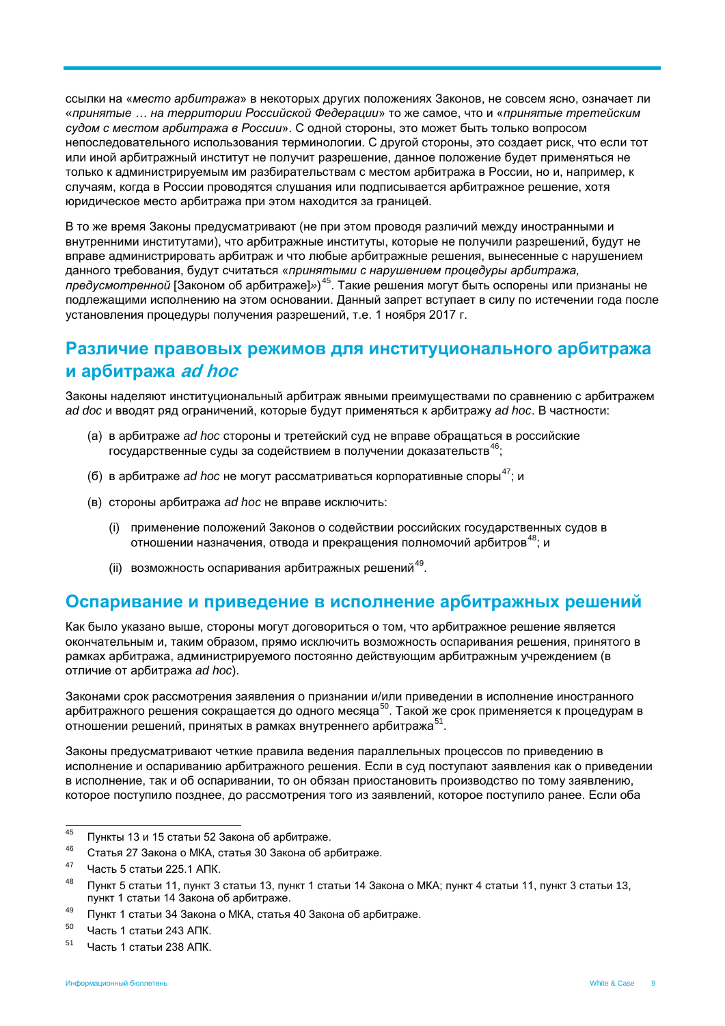ссылки на «*место арбитража*» в некоторых других положениях Законов, не совсем ясно, означает ли «*принятые … на территории Российской Федерации*» то же самое, что и «*принятые третейским судом с местом арбитража в России*». С одной стороны, это может быть только вопросом непоследовательного использования терминологии. С другой стороны, это создает риск, что если тот или иной арбитражный институт не получит разрешение, данное положение будет применяться не только к администрируемым им разбирательствам с местом арбитража в России, но и, например, к случаям, когда в России проводятся слушания или подписывается арбитражное решение, хотя юридическое место арбитража при этом находится за границей.

В то же время Законы предусматривают (не при этом проводя различий между иностранными и внутренними институтами), что арбитражные институты, которые не получили разрешений, будут не вправе администрировать арбитраж и что любые арбитражные решения, вынесенные с нарушением данного требования, будут считаться «*принятыми с нарушением процедуры арбитража, предусмотренной* [Законом об арбитраже]*»*) [45.](#page-18-0) Такие решения могут быть оспорены или признаны не подлежащими исполнению на этом основании. Данный запрет вступает в силу по истечении года после установления процедуры получения разрешений, т.е. 1 ноября 2017 г.

## **Различие правовых режимов для институционального арбитража и арбитража ad hoc**

Законы наделяют институциональный арбитраж явными преимуществами по сравнению с арбитражем *ad doc* и вводят ряд ограничений, которые будут применяться к арбитражу *ad hoc*. В частности:

- (а) в арбитраже *ad hoc* стороны и третейский суд не вправе обращаться в российские государственные суды за содействием в получении доказательств<sup>[46](#page-18-1)</sup>;
- $(6)$  в арбитраже *ad hoc* не могут рассматриваться корпоративные споры<sup>47</sup>; и
- (в) стороны арбитража *ad hoc* не вправе исключить:
	- (i) применение положений Законов о содействии российских государственных судов в отношении назначения, отвода и прекращения полномочий арбитров<sup>48</sup>; и
	- (ii) возможность оспаривания арбитражных решений<sup>[49](#page-18-4)</sup>.

## **Оспаривание и приведение в исполнение арбитражных решений**

Как было указано выше, стороны могут договориться о том, что арбитражное решение является окончательным и, таким образом, прямо исключить возможность оспаривания решения, принятого в рамках арбитража, администрируемого постоянно действующим арбитражным учреждением (в отличие от арбитража *ad hoc*).

Законами срок рассмотрения заявления о признании и/или приведении в исполнение иностранного арбитражного решения сокращается до одного месяца<sup>[50](#page-18-5)</sup>. Такой же срок применяется к процедурам в отношении решений, принятых в рамках внутреннего арбитража<sup>[51](#page-18-6)</sup>.

Законы предусматривают четкие правила ведения параллельных процессов по приведению в исполнение и оспариванию арбитражного решения. Если в суд поступают заявления как о приведении в исполнение, так и об оспаривании, то он обязан приостановить производство по тому заявлению, которое поступило позднее, до рассмотрения того из заявлений, которое поступило ранее. Если оба

<span id="page-18-0"></span> $^{45}$  Пункты 13 и 15 статьи 52 Закона об арбитраже.

<span id="page-18-1"></span><sup>46</sup> Статья 27 Закона о МКА, статья 30 Закона об арбитраже.

<span id="page-18-2"></span><sup>47</sup> Часть 5 статьи 225.1 АПК.

<span id="page-18-3"></span><sup>&</sup>lt;sup>48</sup> Пункт 5 статьи 11, пункт 3 статьи 13, пункт 1 статьи 14 Закона о МКА; пункт 4 статьи 11, пункт 3 статьи 13, пункт 1 статьи 14 Закона об арбитраже.

<span id="page-18-4"></span><sup>&</sup>lt;sup>49</sup> Пункт 1 статьи 34 Закона о МКА, статья 40 Закона об арбитраже.

<span id="page-18-5"></span><sup>50</sup> Часть 1 статьи 243 АПК.

<span id="page-18-6"></span> $51$  Часть 1 статьи 238 АПК.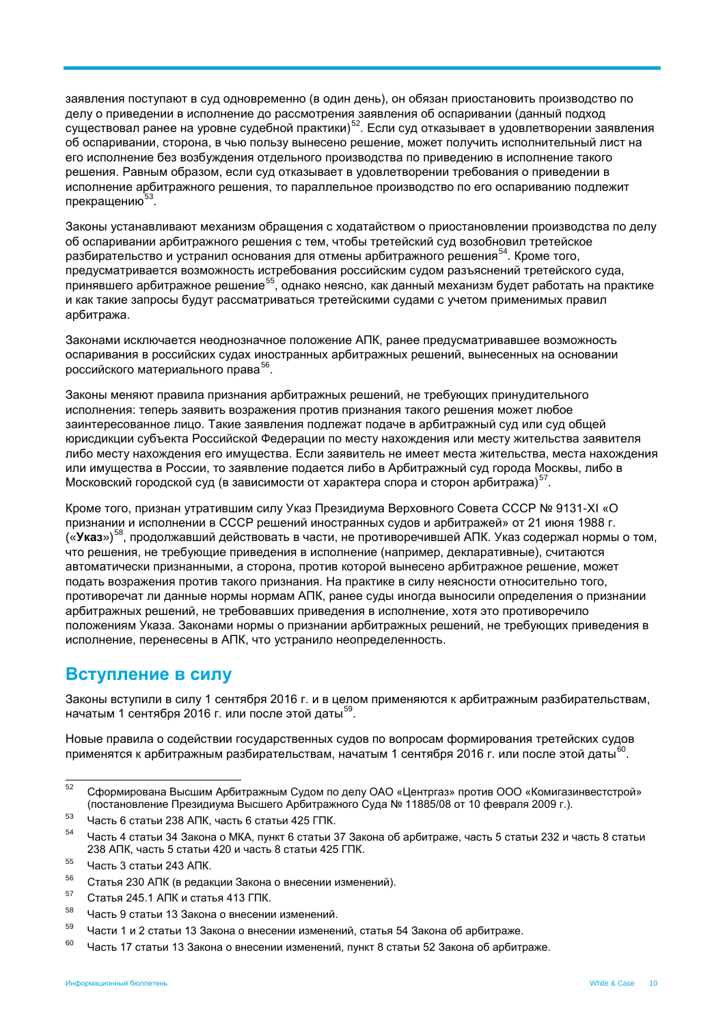заявления поступают в суд одновременно (в один день), он обязан приостановить производство по делу о приведении в исполнение до рассмотрения заявления об оспаривании (данный подход существовал ранее на уровне судебной практики)<sup>52</sup>. Если суд отказывает в удовлетворении заявления об оспаривании, сторона, в чью пользу вынесено решение, может получить исполнительный лист на его исполнение без возбуждения отдельного производства по приведению в исполнение такого решения. Равным образом, если суд отказывает в удовлетворении требования о приведении в исполнение арбитражного решения, то параллельное производство по его оспариванию подлежит прекращению  $53$ .

Законы устанавливают механизм обращения с ходатайством о приостановлении производства по делу об оспаривании арбитражного решения с тем, чтобы третейский суд возобновил третейское разбирательство и устранил основания для отмены арбитражного решения<sup>54</sup>. Кроме того, предусматривается возможность истребования российским судом разъяснений третейского суда, принявшего арбитражное решение<sup>[55](#page-19-3)</sup>, однако неясно, как данный механизм будет работать на практике и как такие запросы будут рассматриваться третейскими судами с учетом применимых правил арбитража.

Законами исключается неоднозначное положение АПК, ранее предусматривавшее возможность оспаривания в российских судах иностранных арбитражных решений, вынесенных на основании российского материального права<sup>56</sup>.

Законы меняют правила признания арбитражных решений, не требующих принудительного исполнения: теперь заявить возражения против признания такого решения может любое заинтересованное лицо. Такие заявления подлежат подаче в арбитражный суд или суд общей юрисдикции субъекта Российской Федерации по месту нахождения или месту жительства заявителя либо месту нахождения его имущества. Если заявитель не имеет места жительства, места нахождения или имущества в России, то заявление подается либо в Арбитражный суд города Москвы, либо в Московский городской суд (в зависимости от характера спора и сторон арбитража)<sup>[57](#page-19-5)</sup>.

Кроме того, признан утратившим силу Указ Президиума Верховного Совета СССР № 9131-XI «О признании и исполнении в СССР решений иностранных судов и арбитражей» от 21 июня 1988 г. («**Указ**»)[58](#page-19-6), продолжавший действовать в части, не противоречившей АПК. Указ содержал нормы о том, что решения, не требующие приведения в исполнение (например, декларативные), считаются автоматически признанными, а сторона, против которой вынесено арбитражное решение, может подать возражения против такого признания. На практике в силу неясности относительно того, противоречат ли данные нормы нормам АПК, ранее суды иногда выносили определения о признании арбитражных решений, не требовавших приведения в исполнение, хотя это противоречило положениям Указа. Законами нормы о признании арбитражных решений, не требующих приведения в исполнение, перенесены в АПК, что устранило неопределенность.

## **Вступление в силу**

Законы вступили в силу 1 сентября 2016 г. и в целом применяются к арбитражным разбирательствам, начатым 1 сентября 2016 г. или после этой даты<sup>59</sup>.

Новые правила о содействии государственных судов по вопросам формирования третейских судов применятся к арбитражным разбирательствам, начатым 1 сентября 2016 г. или после этой даты<sup>[60](#page-19-8)</sup>

<span id="page-19-0"></span> <sup>52</sup> Сформирована Высшим Арбитражным Судом по делу ОАО «Центргаз» против ООО «Комигазинвестстрой» (постановление Президиума Высшего Арбитражного Суда № 11885/08 от 10 февраля 2009 г.).

<span id="page-19-1"></span> $53$  Часть 6 статьи 238 АПК, часть 6 статьи 425 ГПК.

<span id="page-19-2"></span><sup>54</sup> Часть 4 статьи 34 Закона о МКА, пункт 6 статьи 37 Закона об арбитраже, часть 5 статьи 232 и часть 8 статьи 238 АПК, часть 5 статьи 420 и часть 8 статьи 425 ГПК.

<span id="page-19-3"></span> $55$  Часть 3 статьи 243 АПК.

<span id="page-19-4"></span><sup>56</sup> Статья 230 АПК (в редакции Закона о внесении изменений).

<span id="page-19-5"></span> $^{57}$  Статья 245.1 АПК и статья 413 ГПК.

<span id="page-19-6"></span> $^{58}$  Часть 9 статьи 13 Закона о внесении изменений.

<span id="page-19-7"></span><sup>59</sup> Части 1 и 2 статьи 13 Закона о внесении изменений, статья 54 Закона об арбитраже.

<span id="page-19-8"></span> $60$  Часть 17 статьи 13 Закона о внесении изменений, пункт 8 статьи 52 Закона об арбитраже.